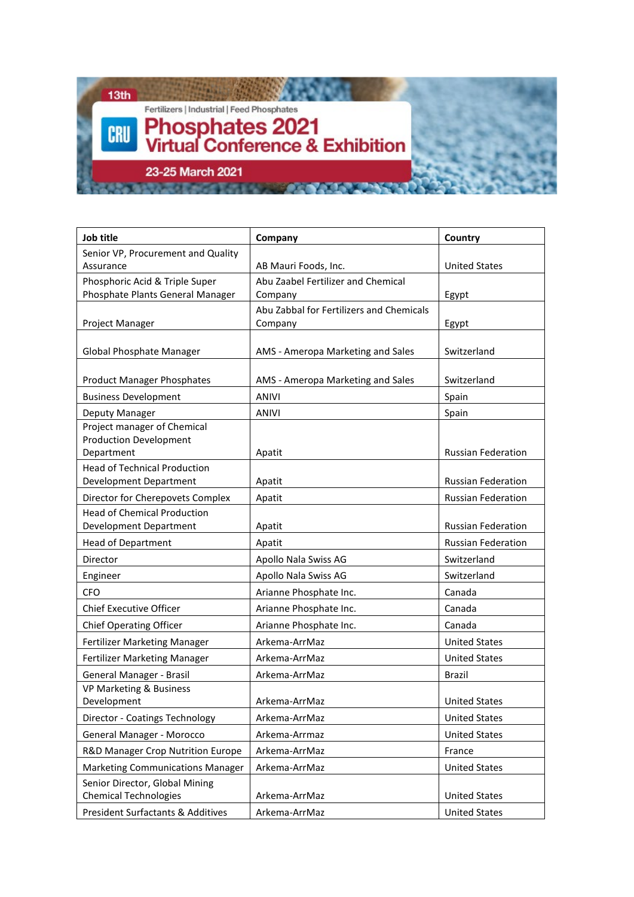

| Job title                                                     | Company                                  | Country                   |
|---------------------------------------------------------------|------------------------------------------|---------------------------|
| Senior VP, Procurement and Quality                            |                                          |                           |
| Assurance                                                     | AB Mauri Foods, Inc.                     | <b>United States</b>      |
| Phosphoric Acid & Triple Super                                | Abu Zaabel Fertilizer and Chemical       |                           |
| Phosphate Plants General Manager                              | Company                                  | Egypt                     |
|                                                               | Abu Zabbal for Fertilizers and Chemicals |                           |
| Project Manager                                               | Company                                  | Egypt                     |
| Global Phosphate Manager                                      | AMS - Ameropa Marketing and Sales        | Switzerland               |
|                                                               |                                          |                           |
| <b>Product Manager Phosphates</b>                             | AMS - Ameropa Marketing and Sales        | Switzerland               |
| <b>Business Development</b>                                   | <b>ANIVI</b>                             | Spain                     |
| Deputy Manager                                                | <b>ANIVI</b>                             | Spain                     |
| Project manager of Chemical                                   |                                          |                           |
| <b>Production Development</b>                                 |                                          |                           |
| Department                                                    | Apatit                                   | <b>Russian Federation</b> |
| <b>Head of Technical Production</b><br>Development Department | Apatit                                   | <b>Russian Federation</b> |
| Director for Cherepovets Complex                              | Apatit                                   | <b>Russian Federation</b> |
| <b>Head of Chemical Production</b>                            |                                          |                           |
| <b>Development Department</b>                                 | Apatit                                   | <b>Russian Federation</b> |
| <b>Head of Department</b>                                     | Apatit                                   | <b>Russian Federation</b> |
| Director                                                      | Apollo Nala Swiss AG                     | Switzerland               |
| Engineer                                                      | Apollo Nala Swiss AG                     | Switzerland               |
| CFO                                                           | Arianne Phosphate Inc.                   | Canada                    |
| <b>Chief Executive Officer</b>                                | Arianne Phosphate Inc.                   | Canada                    |
| <b>Chief Operating Officer</b>                                | Arianne Phosphate Inc.                   | Canada                    |
| Fertilizer Marketing Manager                                  | Arkema-ArrMaz                            | <b>United States</b>      |
| Fertilizer Marketing Manager                                  | Arkema-ArrMaz                            | <b>United States</b>      |
| General Manager - Brasil                                      | Arkema-ArrMaz                            | <b>Brazil</b>             |
| VP Marketing & Business                                       |                                          |                           |
| Development                                                   | Arkema-ArrMaz                            | <b>United States</b>      |
| Director - Coatings Technology                                | Arkema-ArrMaz                            | <b>United States</b>      |
| General Manager - Morocco                                     | Arkema-Arrmaz                            | <b>United States</b>      |
| R&D Manager Crop Nutrition Europe                             | Arkema-ArrMaz                            | France                    |
| <b>Marketing Communications Manager</b>                       | Arkema-ArrMaz                            | <b>United States</b>      |
| Senior Director, Global Mining                                |                                          |                           |
| <b>Chemical Technologies</b>                                  | Arkema-ArrMaz                            | <b>United States</b>      |
| <b>President Surfactants &amp; Additives</b>                  | Arkema-ArrMaz                            | <b>United States</b>      |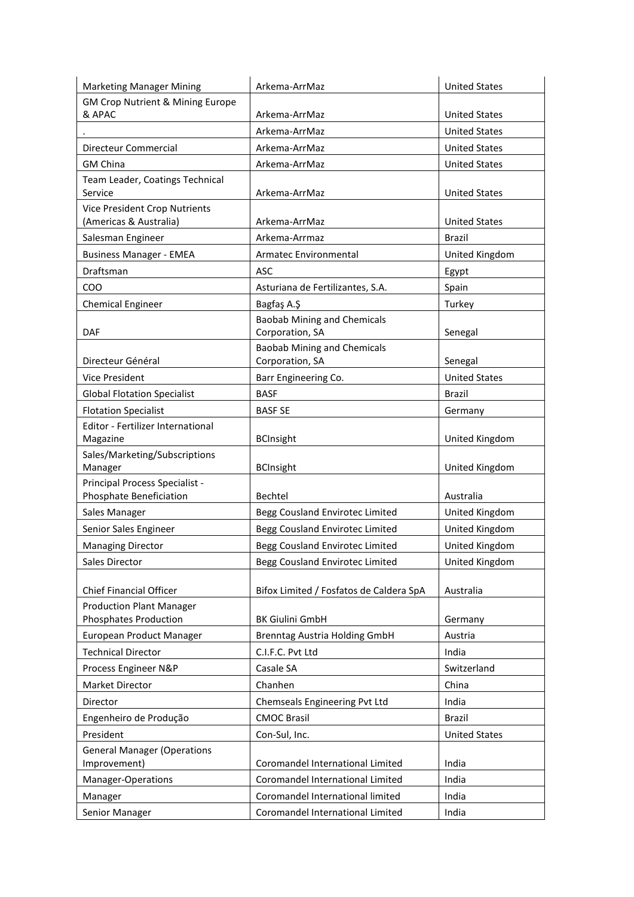| <b>Marketing Manager Mining</b>             | Arkema-ArrMaz                           | <b>United States</b> |
|---------------------------------------------|-----------------------------------------|----------------------|
| <b>GM Crop Nutrient &amp; Mining Europe</b> |                                         |                      |
| & APAC                                      | Arkema-ArrMaz                           | <b>United States</b> |
|                                             | Arkema-ArrMaz                           | <b>United States</b> |
| Directeur Commercial                        | Arkema-ArrMaz                           | <b>United States</b> |
| <b>GM China</b>                             | Arkema-ArrMaz                           | <b>United States</b> |
| Team Leader, Coatings Technical             |                                         |                      |
| Service                                     | Arkema-ArrMaz                           | <b>United States</b> |
| <b>Vice President Crop Nutrients</b>        |                                         |                      |
| (Americas & Australia)                      | Arkema-ArrMaz                           | <b>United States</b> |
| Salesman Engineer                           | Arkema-Arrmaz                           | <b>Brazil</b>        |
| <b>Business Manager - EMEA</b>              | Armatec Environmental                   | United Kingdom       |
| Draftsman                                   | <b>ASC</b>                              | Egypt                |
| COO                                         | Asturiana de Fertilizantes, S.A.        | Spain                |
| <b>Chemical Engineer</b>                    | Bagfaş A.Ş                              | Turkey               |
|                                             | <b>Baobab Mining and Chemicals</b>      |                      |
| DAF                                         | Corporation, SA                         | Senegal              |
|                                             | <b>Baobab Mining and Chemicals</b>      |                      |
| Directeur Général                           | Corporation, SA                         | Senegal              |
| <b>Vice President</b>                       | Barr Engineering Co.                    | <b>United States</b> |
| <b>Global Flotation Specialist</b>          | <b>BASF</b>                             | <b>Brazil</b>        |
| <b>Flotation Specialist</b>                 | <b>BASF SE</b>                          | Germany              |
| Editor - Fertilizer International           |                                         |                      |
| Magazine                                    | <b>BCInsight</b>                        | United Kingdom       |
| Sales/Marketing/Subscriptions<br>Manager    | <b>BCInsight</b>                        | United Kingdom       |
| Principal Process Specialist -              |                                         |                      |
| Phosphate Beneficiation                     | Bechtel                                 | Australia            |
| Sales Manager                               | Begg Cousland Envirotec Limited         | United Kingdom       |
| Senior Sales Engineer                       | Begg Cousland Envirotec Limited         | United Kingdom       |
| <b>Managing Director</b>                    | Begg Cousland Envirotec Limited         | United Kingdom       |
| Sales Director                              | Begg Cousland Envirotec Limited         | United Kingdom       |
|                                             |                                         |                      |
| <b>Chief Financial Officer</b>              | Bifox Limited / Fosfatos de Caldera SpA | Australia            |
| <b>Production Plant Manager</b>             |                                         |                      |
| Phosphates Production                       | <b>BK Giulini GmbH</b>                  | Germany              |
| European Product Manager                    | <b>Brenntag Austria Holding GmbH</b>    | Austria              |
| <b>Technical Director</b>                   | C.I.F.C. Pvt Ltd                        | India                |
| Process Engineer N&P                        | Casale SA                               | Switzerland          |
| <b>Market Director</b>                      | Chanhen                                 | China                |
| Director                                    | Chemseals Engineering Pvt Ltd           | India                |
| Engenheiro de Produção                      | <b>CMOC Brasil</b>                      | <b>Brazil</b>        |
| President                                   | Con-Sul, Inc.                           | <b>United States</b> |
| <b>General Manager (Operations</b>          |                                         |                      |
| Improvement)                                | Coromandel International Limited        | India                |
| Manager-Operations                          | Coromandel International Limited        | India                |
| Manager                                     | Coromandel International limited        | India                |
| Senior Manager                              | Coromandel International Limited        | India                |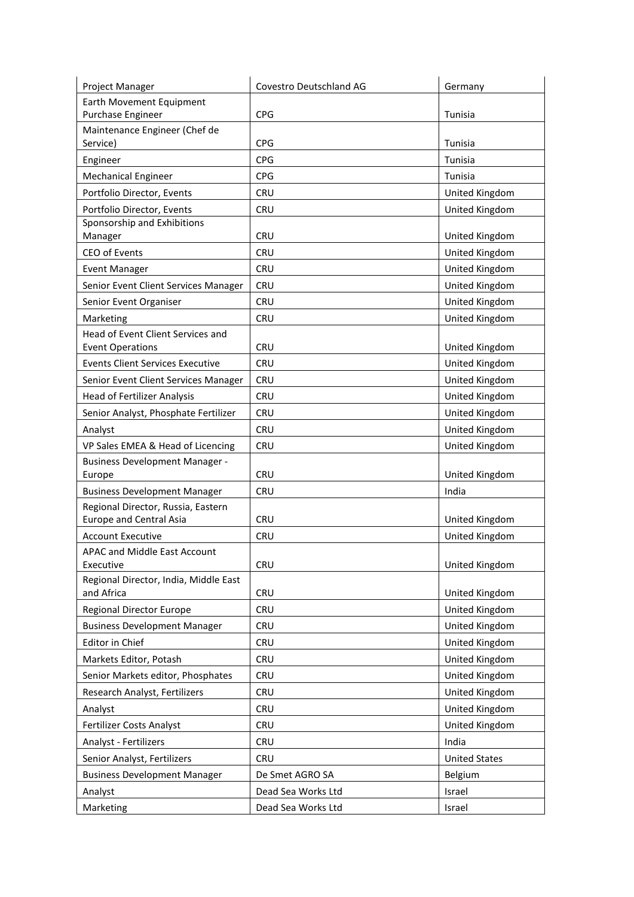| Project Manager                                           | Covestro Deutschland AG | Germany              |
|-----------------------------------------------------------|-------------------------|----------------------|
| Earth Movement Equipment                                  |                         |                      |
| Purchase Engineer                                         | <b>CPG</b>              | Tunisia              |
| Maintenance Engineer (Chef de<br>Service)                 | <b>CPG</b>              | Tunisia              |
|                                                           | <b>CPG</b>              | Tunisia              |
| Engineer                                                  | <b>CPG</b>              | Tunisia              |
| <b>Mechanical Engineer</b>                                |                         |                      |
| Portfolio Director, Events                                | <b>CRU</b>              | United Kingdom       |
| Portfolio Director, Events<br>Sponsorship and Exhibitions | <b>CRU</b>              | United Kingdom       |
| Manager                                                   | <b>CRU</b>              | United Kingdom       |
| CEO of Events                                             | <b>CRU</b>              | United Kingdom       |
| <b>Event Manager</b>                                      | <b>CRU</b>              | United Kingdom       |
| Senior Event Client Services Manager                      | <b>CRU</b>              | United Kingdom       |
| Senior Event Organiser                                    | <b>CRU</b>              | United Kingdom       |
| Marketing                                                 | <b>CRU</b>              | United Kingdom       |
| Head of Event Client Services and                         |                         |                      |
| <b>Event Operations</b>                                   | <b>CRU</b>              | United Kingdom       |
| <b>Events Client Services Executive</b>                   | <b>CRU</b>              | United Kingdom       |
| Senior Event Client Services Manager                      | <b>CRU</b>              | United Kingdom       |
| <b>Head of Fertilizer Analysis</b>                        | <b>CRU</b>              | United Kingdom       |
| Senior Analyst, Phosphate Fertilizer                      | <b>CRU</b>              | United Kingdom       |
| Analyst                                                   | <b>CRU</b>              | United Kingdom       |
| VP Sales EMEA & Head of Licencing                         | <b>CRU</b>              | United Kingdom       |
| <b>Business Development Manager -</b><br>Europe           | <b>CRU</b>              | United Kingdom       |
| <b>Business Development Manager</b>                       | <b>CRU</b>              | India                |
| Regional Director, Russia, Eastern                        |                         |                      |
| <b>Europe and Central Asia</b>                            | <b>CRU</b>              | United Kingdom       |
| <b>Account Executive</b>                                  | <b>CRU</b>              | United Kingdom       |
| APAC and Middle East Account                              |                         |                      |
| Executive                                                 | <b>CRU</b>              | United Kingdom       |
| Regional Director, India, Middle East<br>and Africa       | <b>CRU</b>              | United Kingdom       |
| <b>Regional Director Europe</b>                           | <b>CRU</b>              | United Kingdom       |
| <b>Business Development Manager</b>                       | <b>CRU</b>              | United Kingdom       |
| Editor in Chief                                           | <b>CRU</b>              | United Kingdom       |
| Markets Editor, Potash                                    | <b>CRU</b>              | United Kingdom       |
| Senior Markets editor, Phosphates                         | <b>CRU</b>              | United Kingdom       |
| Research Analyst, Fertilizers                             | <b>CRU</b>              | United Kingdom       |
| Analyst                                                   | <b>CRU</b>              | United Kingdom       |
| Fertilizer Costs Analyst                                  | <b>CRU</b>              | United Kingdom       |
| Analyst - Fertilizers                                     | <b>CRU</b>              | India                |
| Senior Analyst, Fertilizers                               | <b>CRU</b>              | <b>United States</b> |
| <b>Business Development Manager</b>                       | De Smet AGRO SA         | Belgium              |
| Analyst                                                   | Dead Sea Works Ltd      | Israel               |
| Marketing                                                 | Dead Sea Works Ltd      | Israel               |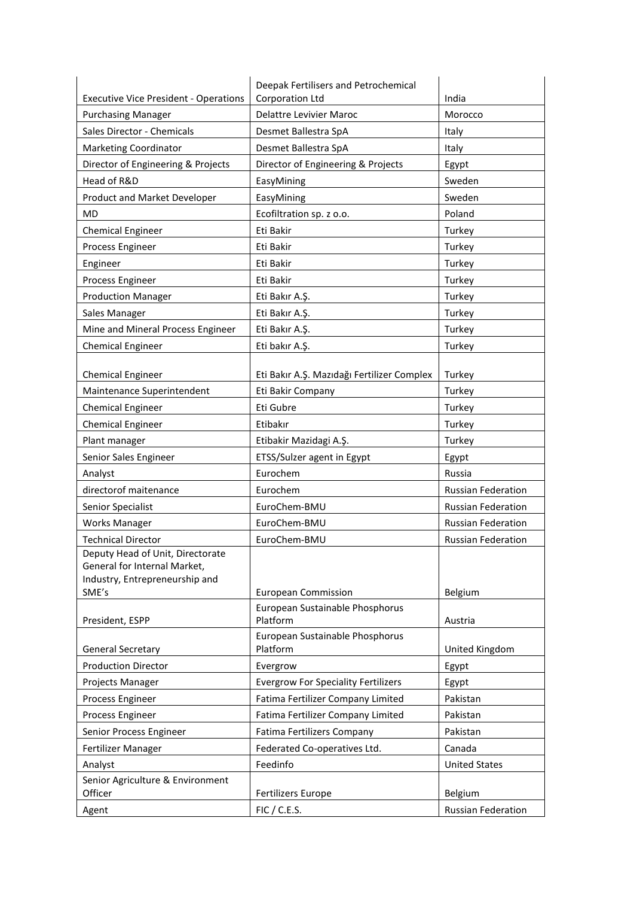| <b>Executive Vice President - Operations</b><br>India<br><b>Delattre Levivier Maroc</b><br><b>Purchasing Manager</b><br>Morocco<br>Sales Director - Chemicals<br>Desmet Ballestra SpA<br>Italy<br><b>Marketing Coordinator</b><br>Desmet Ballestra SpA<br>Italy<br>Director of Engineering & Projects<br>Director of Engineering & Projects<br>Egypt<br>Head of R&D<br>EasyMining<br>Sweden<br>Sweden<br>Product and Market Developer<br>EasyMining<br><b>MD</b><br>Ecofiltration sp. z o.o.<br>Poland<br>Eti Bakir<br>Turkey<br><b>Chemical Engineer</b><br>Process Engineer<br>Eti Bakir<br>Turkey<br>Turkey<br>Engineer<br>Eti Bakir<br>Turkey<br>Process Engineer<br>Eti Bakir<br><b>Production Manager</b><br>Turkey<br>Eti Bakır A.Ş.<br>Sales Manager<br>Eti Bakır A.Ş.<br>Turkey<br>Mine and Mineral Process Engineer<br>Eti Bakır A.Ş.<br>Turkey<br>Eti bakır A.Ş.<br>Turkey<br><b>Chemical Engineer</b><br><b>Chemical Engineer</b><br>Eti Bakır A.Ş. Mazıdağı Fertilizer Complex<br>Turkey<br>Eti Bakir Company<br>Turkey<br>Maintenance Superintendent<br>Eti Gubre<br>Turkey<br><b>Chemical Engineer</b><br><b>Chemical Engineer</b><br>Etibakır<br>Turkey<br>Plant manager<br>Etibakir Mazidagi A.Ş.<br>Turkey<br>Senior Sales Engineer<br>ETSS/Sulzer agent in Egypt<br>Egypt<br>Eurochem<br>Analyst<br>Russia<br>directorof maitenance<br>Eurochem<br><b>Russian Federation</b><br>EuroChem-BMU<br><b>Russian Federation</b><br>Senior Specialist<br>EuroChem-BMU<br><b>Works Manager</b><br><b>Russian Federation</b><br><b>Technical Director</b><br>EuroChem-BMU<br><b>Russian Federation</b><br>Deputy Head of Unit. Directorate<br>General for Internal Market,<br>Industry, Entrepreneurship and<br>SME's<br><b>European Commission</b><br>Belgium<br>European Sustainable Phosphorus<br>Platform<br>President, ESPP<br>Austria<br>European Sustainable Phosphorus<br>Platform<br><b>General Secretary</b><br>United Kingdom<br><b>Production Director</b><br>Evergrow<br>Egypt<br><b>Evergrow For Speciality Fertilizers</b><br>Projects Manager<br>Egypt<br>Fatima Fertilizer Company Limited<br>Pakistan<br>Process Engineer<br>Fatima Fertilizer Company Limited<br>Process Engineer<br>Pakistan<br>Senior Process Engineer<br>Fatima Fertilizers Company<br>Pakistan<br>Federated Co-operatives Ltd.<br>Fertilizer Manager<br>Canada<br>Feedinfo<br><b>United States</b><br>Analyst<br>Senior Agriculture & Environment<br>Officer<br>Fertilizers Europe<br>Belgium | Deepak Fertilisers and Petrochemical |  |
|------------------------------------------------------------------------------------------------------------------------------------------------------------------------------------------------------------------------------------------------------------------------------------------------------------------------------------------------------------------------------------------------------------------------------------------------------------------------------------------------------------------------------------------------------------------------------------------------------------------------------------------------------------------------------------------------------------------------------------------------------------------------------------------------------------------------------------------------------------------------------------------------------------------------------------------------------------------------------------------------------------------------------------------------------------------------------------------------------------------------------------------------------------------------------------------------------------------------------------------------------------------------------------------------------------------------------------------------------------------------------------------------------------------------------------------------------------------------------------------------------------------------------------------------------------------------------------------------------------------------------------------------------------------------------------------------------------------------------------------------------------------------------------------------------------------------------------------------------------------------------------------------------------------------------------------------------------------------------------------------------------------------------------------------------------------------------------------------------------------------------------------------------------------------------------------------------------------------------------------------------------------------------------------------------------------------------------------------------------------------------------------------------------------------------------------------------------------------------------------------|--------------------------------------|--|
|                                                                                                                                                                                                                                                                                                                                                                                                                                                                                                                                                                                                                                                                                                                                                                                                                                                                                                                                                                                                                                                                                                                                                                                                                                                                                                                                                                                                                                                                                                                                                                                                                                                                                                                                                                                                                                                                                                                                                                                                                                                                                                                                                                                                                                                                                                                                                                                                                                                                                                | Corporation Ltd                      |  |
|                                                                                                                                                                                                                                                                                                                                                                                                                                                                                                                                                                                                                                                                                                                                                                                                                                                                                                                                                                                                                                                                                                                                                                                                                                                                                                                                                                                                                                                                                                                                                                                                                                                                                                                                                                                                                                                                                                                                                                                                                                                                                                                                                                                                                                                                                                                                                                                                                                                                                                |                                      |  |
|                                                                                                                                                                                                                                                                                                                                                                                                                                                                                                                                                                                                                                                                                                                                                                                                                                                                                                                                                                                                                                                                                                                                                                                                                                                                                                                                                                                                                                                                                                                                                                                                                                                                                                                                                                                                                                                                                                                                                                                                                                                                                                                                                                                                                                                                                                                                                                                                                                                                                                |                                      |  |
|                                                                                                                                                                                                                                                                                                                                                                                                                                                                                                                                                                                                                                                                                                                                                                                                                                                                                                                                                                                                                                                                                                                                                                                                                                                                                                                                                                                                                                                                                                                                                                                                                                                                                                                                                                                                                                                                                                                                                                                                                                                                                                                                                                                                                                                                                                                                                                                                                                                                                                |                                      |  |
|                                                                                                                                                                                                                                                                                                                                                                                                                                                                                                                                                                                                                                                                                                                                                                                                                                                                                                                                                                                                                                                                                                                                                                                                                                                                                                                                                                                                                                                                                                                                                                                                                                                                                                                                                                                                                                                                                                                                                                                                                                                                                                                                                                                                                                                                                                                                                                                                                                                                                                |                                      |  |
|                                                                                                                                                                                                                                                                                                                                                                                                                                                                                                                                                                                                                                                                                                                                                                                                                                                                                                                                                                                                                                                                                                                                                                                                                                                                                                                                                                                                                                                                                                                                                                                                                                                                                                                                                                                                                                                                                                                                                                                                                                                                                                                                                                                                                                                                                                                                                                                                                                                                                                |                                      |  |
|                                                                                                                                                                                                                                                                                                                                                                                                                                                                                                                                                                                                                                                                                                                                                                                                                                                                                                                                                                                                                                                                                                                                                                                                                                                                                                                                                                                                                                                                                                                                                                                                                                                                                                                                                                                                                                                                                                                                                                                                                                                                                                                                                                                                                                                                                                                                                                                                                                                                                                |                                      |  |
|                                                                                                                                                                                                                                                                                                                                                                                                                                                                                                                                                                                                                                                                                                                                                                                                                                                                                                                                                                                                                                                                                                                                                                                                                                                                                                                                                                                                                                                                                                                                                                                                                                                                                                                                                                                                                                                                                                                                                                                                                                                                                                                                                                                                                                                                                                                                                                                                                                                                                                |                                      |  |
|                                                                                                                                                                                                                                                                                                                                                                                                                                                                                                                                                                                                                                                                                                                                                                                                                                                                                                                                                                                                                                                                                                                                                                                                                                                                                                                                                                                                                                                                                                                                                                                                                                                                                                                                                                                                                                                                                                                                                                                                                                                                                                                                                                                                                                                                                                                                                                                                                                                                                                |                                      |  |
|                                                                                                                                                                                                                                                                                                                                                                                                                                                                                                                                                                                                                                                                                                                                                                                                                                                                                                                                                                                                                                                                                                                                                                                                                                                                                                                                                                                                                                                                                                                                                                                                                                                                                                                                                                                                                                                                                                                                                                                                                                                                                                                                                                                                                                                                                                                                                                                                                                                                                                |                                      |  |
|                                                                                                                                                                                                                                                                                                                                                                                                                                                                                                                                                                                                                                                                                                                                                                                                                                                                                                                                                                                                                                                                                                                                                                                                                                                                                                                                                                                                                                                                                                                                                                                                                                                                                                                                                                                                                                                                                                                                                                                                                                                                                                                                                                                                                                                                                                                                                                                                                                                                                                |                                      |  |
|                                                                                                                                                                                                                                                                                                                                                                                                                                                                                                                                                                                                                                                                                                                                                                                                                                                                                                                                                                                                                                                                                                                                                                                                                                                                                                                                                                                                                                                                                                                                                                                                                                                                                                                                                                                                                                                                                                                                                                                                                                                                                                                                                                                                                                                                                                                                                                                                                                                                                                |                                      |  |
|                                                                                                                                                                                                                                                                                                                                                                                                                                                                                                                                                                                                                                                                                                                                                                                                                                                                                                                                                                                                                                                                                                                                                                                                                                                                                                                                                                                                                                                                                                                                                                                                                                                                                                                                                                                                                                                                                                                                                                                                                                                                                                                                                                                                                                                                                                                                                                                                                                                                                                |                                      |  |
|                                                                                                                                                                                                                                                                                                                                                                                                                                                                                                                                                                                                                                                                                                                                                                                                                                                                                                                                                                                                                                                                                                                                                                                                                                                                                                                                                                                                                                                                                                                                                                                                                                                                                                                                                                                                                                                                                                                                                                                                                                                                                                                                                                                                                                                                                                                                                                                                                                                                                                |                                      |  |
|                                                                                                                                                                                                                                                                                                                                                                                                                                                                                                                                                                                                                                                                                                                                                                                                                                                                                                                                                                                                                                                                                                                                                                                                                                                                                                                                                                                                                                                                                                                                                                                                                                                                                                                                                                                                                                                                                                                                                                                                                                                                                                                                                                                                                                                                                                                                                                                                                                                                                                |                                      |  |
|                                                                                                                                                                                                                                                                                                                                                                                                                                                                                                                                                                                                                                                                                                                                                                                                                                                                                                                                                                                                                                                                                                                                                                                                                                                                                                                                                                                                                                                                                                                                                                                                                                                                                                                                                                                                                                                                                                                                                                                                                                                                                                                                                                                                                                                                                                                                                                                                                                                                                                |                                      |  |
|                                                                                                                                                                                                                                                                                                                                                                                                                                                                                                                                                                                                                                                                                                                                                                                                                                                                                                                                                                                                                                                                                                                                                                                                                                                                                                                                                                                                                                                                                                                                                                                                                                                                                                                                                                                                                                                                                                                                                                                                                                                                                                                                                                                                                                                                                                                                                                                                                                                                                                |                                      |  |
|                                                                                                                                                                                                                                                                                                                                                                                                                                                                                                                                                                                                                                                                                                                                                                                                                                                                                                                                                                                                                                                                                                                                                                                                                                                                                                                                                                                                                                                                                                                                                                                                                                                                                                                                                                                                                                                                                                                                                                                                                                                                                                                                                                                                                                                                                                                                                                                                                                                                                                |                                      |  |
|                                                                                                                                                                                                                                                                                                                                                                                                                                                                                                                                                                                                                                                                                                                                                                                                                                                                                                                                                                                                                                                                                                                                                                                                                                                                                                                                                                                                                                                                                                                                                                                                                                                                                                                                                                                                                                                                                                                                                                                                                                                                                                                                                                                                                                                                                                                                                                                                                                                                                                |                                      |  |
|                                                                                                                                                                                                                                                                                                                                                                                                                                                                                                                                                                                                                                                                                                                                                                                                                                                                                                                                                                                                                                                                                                                                                                                                                                                                                                                                                                                                                                                                                                                                                                                                                                                                                                                                                                                                                                                                                                                                                                                                                                                                                                                                                                                                                                                                                                                                                                                                                                                                                                |                                      |  |
|                                                                                                                                                                                                                                                                                                                                                                                                                                                                                                                                                                                                                                                                                                                                                                                                                                                                                                                                                                                                                                                                                                                                                                                                                                                                                                                                                                                                                                                                                                                                                                                                                                                                                                                                                                                                                                                                                                                                                                                                                                                                                                                                                                                                                                                                                                                                                                                                                                                                                                |                                      |  |
|                                                                                                                                                                                                                                                                                                                                                                                                                                                                                                                                                                                                                                                                                                                                                                                                                                                                                                                                                                                                                                                                                                                                                                                                                                                                                                                                                                                                                                                                                                                                                                                                                                                                                                                                                                                                                                                                                                                                                                                                                                                                                                                                                                                                                                                                                                                                                                                                                                                                                                |                                      |  |
|                                                                                                                                                                                                                                                                                                                                                                                                                                                                                                                                                                                                                                                                                                                                                                                                                                                                                                                                                                                                                                                                                                                                                                                                                                                                                                                                                                                                                                                                                                                                                                                                                                                                                                                                                                                                                                                                                                                                                                                                                                                                                                                                                                                                                                                                                                                                                                                                                                                                                                |                                      |  |
|                                                                                                                                                                                                                                                                                                                                                                                                                                                                                                                                                                                                                                                                                                                                                                                                                                                                                                                                                                                                                                                                                                                                                                                                                                                                                                                                                                                                                                                                                                                                                                                                                                                                                                                                                                                                                                                                                                                                                                                                                                                                                                                                                                                                                                                                                                                                                                                                                                                                                                |                                      |  |
|                                                                                                                                                                                                                                                                                                                                                                                                                                                                                                                                                                                                                                                                                                                                                                                                                                                                                                                                                                                                                                                                                                                                                                                                                                                                                                                                                                                                                                                                                                                                                                                                                                                                                                                                                                                                                                                                                                                                                                                                                                                                                                                                                                                                                                                                                                                                                                                                                                                                                                |                                      |  |
|                                                                                                                                                                                                                                                                                                                                                                                                                                                                                                                                                                                                                                                                                                                                                                                                                                                                                                                                                                                                                                                                                                                                                                                                                                                                                                                                                                                                                                                                                                                                                                                                                                                                                                                                                                                                                                                                                                                                                                                                                                                                                                                                                                                                                                                                                                                                                                                                                                                                                                |                                      |  |
|                                                                                                                                                                                                                                                                                                                                                                                                                                                                                                                                                                                                                                                                                                                                                                                                                                                                                                                                                                                                                                                                                                                                                                                                                                                                                                                                                                                                                                                                                                                                                                                                                                                                                                                                                                                                                                                                                                                                                                                                                                                                                                                                                                                                                                                                                                                                                                                                                                                                                                |                                      |  |
|                                                                                                                                                                                                                                                                                                                                                                                                                                                                                                                                                                                                                                                                                                                                                                                                                                                                                                                                                                                                                                                                                                                                                                                                                                                                                                                                                                                                                                                                                                                                                                                                                                                                                                                                                                                                                                                                                                                                                                                                                                                                                                                                                                                                                                                                                                                                                                                                                                                                                                |                                      |  |
|                                                                                                                                                                                                                                                                                                                                                                                                                                                                                                                                                                                                                                                                                                                                                                                                                                                                                                                                                                                                                                                                                                                                                                                                                                                                                                                                                                                                                                                                                                                                                                                                                                                                                                                                                                                                                                                                                                                                                                                                                                                                                                                                                                                                                                                                                                                                                                                                                                                                                                |                                      |  |
|                                                                                                                                                                                                                                                                                                                                                                                                                                                                                                                                                                                                                                                                                                                                                                                                                                                                                                                                                                                                                                                                                                                                                                                                                                                                                                                                                                                                                                                                                                                                                                                                                                                                                                                                                                                                                                                                                                                                                                                                                                                                                                                                                                                                                                                                                                                                                                                                                                                                                                |                                      |  |
|                                                                                                                                                                                                                                                                                                                                                                                                                                                                                                                                                                                                                                                                                                                                                                                                                                                                                                                                                                                                                                                                                                                                                                                                                                                                                                                                                                                                                                                                                                                                                                                                                                                                                                                                                                                                                                                                                                                                                                                                                                                                                                                                                                                                                                                                                                                                                                                                                                                                                                |                                      |  |
|                                                                                                                                                                                                                                                                                                                                                                                                                                                                                                                                                                                                                                                                                                                                                                                                                                                                                                                                                                                                                                                                                                                                                                                                                                                                                                                                                                                                                                                                                                                                                                                                                                                                                                                                                                                                                                                                                                                                                                                                                                                                                                                                                                                                                                                                                                                                                                                                                                                                                                |                                      |  |
|                                                                                                                                                                                                                                                                                                                                                                                                                                                                                                                                                                                                                                                                                                                                                                                                                                                                                                                                                                                                                                                                                                                                                                                                                                                                                                                                                                                                                                                                                                                                                                                                                                                                                                                                                                                                                                                                                                                                                                                                                                                                                                                                                                                                                                                                                                                                                                                                                                                                                                |                                      |  |
|                                                                                                                                                                                                                                                                                                                                                                                                                                                                                                                                                                                                                                                                                                                                                                                                                                                                                                                                                                                                                                                                                                                                                                                                                                                                                                                                                                                                                                                                                                                                                                                                                                                                                                                                                                                                                                                                                                                                                                                                                                                                                                                                                                                                                                                                                                                                                                                                                                                                                                |                                      |  |
|                                                                                                                                                                                                                                                                                                                                                                                                                                                                                                                                                                                                                                                                                                                                                                                                                                                                                                                                                                                                                                                                                                                                                                                                                                                                                                                                                                                                                                                                                                                                                                                                                                                                                                                                                                                                                                                                                                                                                                                                                                                                                                                                                                                                                                                                                                                                                                                                                                                                                                |                                      |  |
|                                                                                                                                                                                                                                                                                                                                                                                                                                                                                                                                                                                                                                                                                                                                                                                                                                                                                                                                                                                                                                                                                                                                                                                                                                                                                                                                                                                                                                                                                                                                                                                                                                                                                                                                                                                                                                                                                                                                                                                                                                                                                                                                                                                                                                                                                                                                                                                                                                                                                                |                                      |  |
|                                                                                                                                                                                                                                                                                                                                                                                                                                                                                                                                                                                                                                                                                                                                                                                                                                                                                                                                                                                                                                                                                                                                                                                                                                                                                                                                                                                                                                                                                                                                                                                                                                                                                                                                                                                                                                                                                                                                                                                                                                                                                                                                                                                                                                                                                                                                                                                                                                                                                                |                                      |  |
|                                                                                                                                                                                                                                                                                                                                                                                                                                                                                                                                                                                                                                                                                                                                                                                                                                                                                                                                                                                                                                                                                                                                                                                                                                                                                                                                                                                                                                                                                                                                                                                                                                                                                                                                                                                                                                                                                                                                                                                                                                                                                                                                                                                                                                                                                                                                                                                                                                                                                                |                                      |  |
|                                                                                                                                                                                                                                                                                                                                                                                                                                                                                                                                                                                                                                                                                                                                                                                                                                                                                                                                                                                                                                                                                                                                                                                                                                                                                                                                                                                                                                                                                                                                                                                                                                                                                                                                                                                                                                                                                                                                                                                                                                                                                                                                                                                                                                                                                                                                                                                                                                                                                                |                                      |  |
|                                                                                                                                                                                                                                                                                                                                                                                                                                                                                                                                                                                                                                                                                                                                                                                                                                                                                                                                                                                                                                                                                                                                                                                                                                                                                                                                                                                                                                                                                                                                                                                                                                                                                                                                                                                                                                                                                                                                                                                                                                                                                                                                                                                                                                                                                                                                                                                                                                                                                                |                                      |  |
|                                                                                                                                                                                                                                                                                                                                                                                                                                                                                                                                                                                                                                                                                                                                                                                                                                                                                                                                                                                                                                                                                                                                                                                                                                                                                                                                                                                                                                                                                                                                                                                                                                                                                                                                                                                                                                                                                                                                                                                                                                                                                                                                                                                                                                                                                                                                                                                                                                                                                                |                                      |  |
|                                                                                                                                                                                                                                                                                                                                                                                                                                                                                                                                                                                                                                                                                                                                                                                                                                                                                                                                                                                                                                                                                                                                                                                                                                                                                                                                                                                                                                                                                                                                                                                                                                                                                                                                                                                                                                                                                                                                                                                                                                                                                                                                                                                                                                                                                                                                                                                                                                                                                                |                                      |  |
|                                                                                                                                                                                                                                                                                                                                                                                                                                                                                                                                                                                                                                                                                                                                                                                                                                                                                                                                                                                                                                                                                                                                                                                                                                                                                                                                                                                                                                                                                                                                                                                                                                                                                                                                                                                                                                                                                                                                                                                                                                                                                                                                                                                                                                                                                                                                                                                                                                                                                                |                                      |  |
| Russian Federation<br>Agent<br>FIC / C.E.S.                                                                                                                                                                                                                                                                                                                                                                                                                                                                                                                                                                                                                                                                                                                                                                                                                                                                                                                                                                                                                                                                                                                                                                                                                                                                                                                                                                                                                                                                                                                                                                                                                                                                                                                                                                                                                                                                                                                                                                                                                                                                                                                                                                                                                                                                                                                                                                                                                                                    |                                      |  |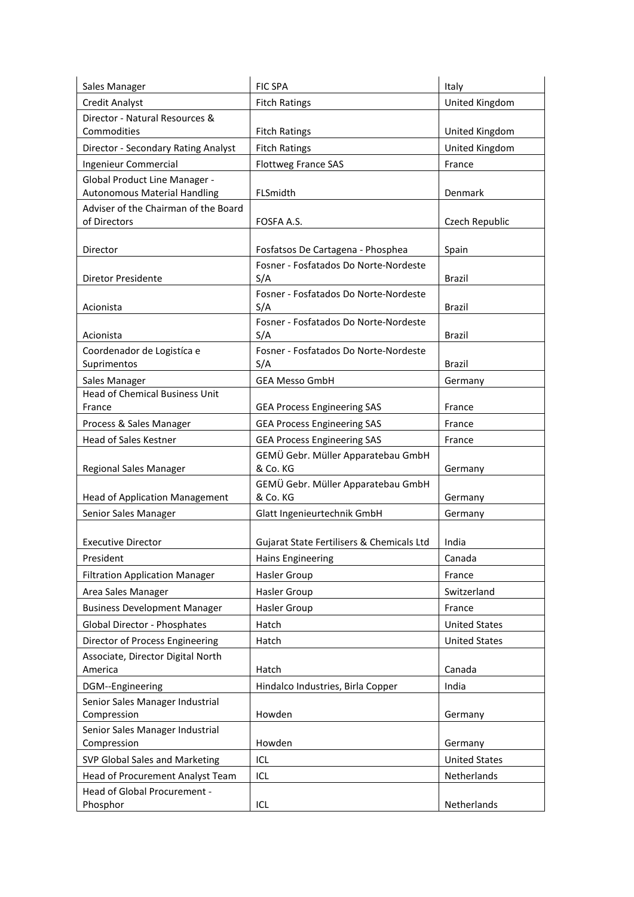| United Kingdom<br><b>Credit Analyst</b><br><b>Fitch Ratings</b><br>Director - Natural Resources &<br>Commodities<br>United Kingdom<br><b>Fitch Ratings</b><br>United Kingdom<br>Director - Secondary Rating Analyst<br><b>Fitch Ratings</b><br>Ingenieur Commercial<br><b>Flottweg France SAS</b><br>France<br><b>Global Product Line Manager -</b><br><b>Autonomous Material Handling</b><br>FLSmidth<br>Denmark<br>Adviser of the Chairman of the Board<br>of Directors<br>FOSFA A.S.<br>Czech Republic<br>Fosfatsos De Cartagena - Phosphea<br>Director<br>Spain<br>Fosner - Fosfatados Do Norte-Nordeste<br>S/A<br>Diretor Presidente<br>Brazil<br>Fosner - Fosfatados Do Norte-Nordeste<br>S/A<br>Acionista<br>Brazil<br>Fosner - Fosfatados Do Norte-Nordeste<br>S/A<br>Acionista<br>Brazil<br>Fosner - Fosfatados Do Norte-Nordeste<br>Coordenador de Logistíca e<br>S/A<br><b>Brazil</b><br>Suprimentos<br><b>GEA Messo GmbH</b><br>Sales Manager<br>Germany<br><b>Head of Chemical Business Unit</b><br><b>GEA Process Engineering SAS</b><br>France<br>France<br>Process & Sales Manager<br><b>GEA Process Engineering SAS</b><br>France<br>Head of Sales Kestner<br><b>GEA Process Engineering SAS</b><br>France<br>GEMÜ Gebr. Müller Apparatebau GmbH<br>& Co. KG<br>Regional Sales Manager<br>Germany<br>GEMÜ Gebr. Müller Apparatebau GmbH<br>& Co. KG<br><b>Head of Application Management</b><br>Germany<br>Senior Sales Manager<br>Glatt Ingenieurtechnik GmbH<br>Germany<br>Gujarat State Fertilisers & Chemicals Ltd<br><b>Executive Director</b><br>India<br>President<br><b>Hains Engineering</b><br>Canada<br><b>Filtration Application Manager</b><br>Hasler Group<br>France<br>Area Sales Manager<br>Hasler Group<br>Switzerland<br><b>Business Development Manager</b><br>Hasler Group<br>France<br>Global Director - Phosphates<br>Hatch<br><b>United States</b><br>Director of Process Engineering<br>Hatch<br><b>United States</b><br>Associate, Director Digital North<br>Canada<br>America<br>Hatch<br>Hindalco Industries, Birla Copper<br>India<br>DGM--Engineering<br>Senior Sales Manager Industrial<br>Compression<br>Howden<br>Germany<br>Senior Sales Manager Industrial<br>Howden<br>Compression<br>Germany<br>SVP Global Sales and Marketing<br>ICL<br><b>United States</b><br>Head of Procurement Analyst Team<br>Netherlands<br>ICL<br>Head of Global Procurement -<br>Netherlands<br>Phosphor<br>ICL | Sales Manager | <b>FIC SPA</b> | Italy |
|------------------------------------------------------------------------------------------------------------------------------------------------------------------------------------------------------------------------------------------------------------------------------------------------------------------------------------------------------------------------------------------------------------------------------------------------------------------------------------------------------------------------------------------------------------------------------------------------------------------------------------------------------------------------------------------------------------------------------------------------------------------------------------------------------------------------------------------------------------------------------------------------------------------------------------------------------------------------------------------------------------------------------------------------------------------------------------------------------------------------------------------------------------------------------------------------------------------------------------------------------------------------------------------------------------------------------------------------------------------------------------------------------------------------------------------------------------------------------------------------------------------------------------------------------------------------------------------------------------------------------------------------------------------------------------------------------------------------------------------------------------------------------------------------------------------------------------------------------------------------------------------------------------------------------------------------------------------------------------------------------------------------------------------------------------------------------------------------------------------------------------------------------------------------------------------------------------------------------------------------------------------------------------------------------------------------------------------------------------------------------------------------------------------------------------------------|---------------|----------------|-------|
|                                                                                                                                                                                                                                                                                                                                                                                                                                                                                                                                                                                                                                                                                                                                                                                                                                                                                                                                                                                                                                                                                                                                                                                                                                                                                                                                                                                                                                                                                                                                                                                                                                                                                                                                                                                                                                                                                                                                                                                                                                                                                                                                                                                                                                                                                                                                                                                                                                                |               |                |       |
|                                                                                                                                                                                                                                                                                                                                                                                                                                                                                                                                                                                                                                                                                                                                                                                                                                                                                                                                                                                                                                                                                                                                                                                                                                                                                                                                                                                                                                                                                                                                                                                                                                                                                                                                                                                                                                                                                                                                                                                                                                                                                                                                                                                                                                                                                                                                                                                                                                                |               |                |       |
|                                                                                                                                                                                                                                                                                                                                                                                                                                                                                                                                                                                                                                                                                                                                                                                                                                                                                                                                                                                                                                                                                                                                                                                                                                                                                                                                                                                                                                                                                                                                                                                                                                                                                                                                                                                                                                                                                                                                                                                                                                                                                                                                                                                                                                                                                                                                                                                                                                                |               |                |       |
|                                                                                                                                                                                                                                                                                                                                                                                                                                                                                                                                                                                                                                                                                                                                                                                                                                                                                                                                                                                                                                                                                                                                                                                                                                                                                                                                                                                                                                                                                                                                                                                                                                                                                                                                                                                                                                                                                                                                                                                                                                                                                                                                                                                                                                                                                                                                                                                                                                                |               |                |       |
|                                                                                                                                                                                                                                                                                                                                                                                                                                                                                                                                                                                                                                                                                                                                                                                                                                                                                                                                                                                                                                                                                                                                                                                                                                                                                                                                                                                                                                                                                                                                                                                                                                                                                                                                                                                                                                                                                                                                                                                                                                                                                                                                                                                                                                                                                                                                                                                                                                                |               |                |       |
|                                                                                                                                                                                                                                                                                                                                                                                                                                                                                                                                                                                                                                                                                                                                                                                                                                                                                                                                                                                                                                                                                                                                                                                                                                                                                                                                                                                                                                                                                                                                                                                                                                                                                                                                                                                                                                                                                                                                                                                                                                                                                                                                                                                                                                                                                                                                                                                                                                                |               |                |       |
|                                                                                                                                                                                                                                                                                                                                                                                                                                                                                                                                                                                                                                                                                                                                                                                                                                                                                                                                                                                                                                                                                                                                                                                                                                                                                                                                                                                                                                                                                                                                                                                                                                                                                                                                                                                                                                                                                                                                                                                                                                                                                                                                                                                                                                                                                                                                                                                                                                                |               |                |       |
|                                                                                                                                                                                                                                                                                                                                                                                                                                                                                                                                                                                                                                                                                                                                                                                                                                                                                                                                                                                                                                                                                                                                                                                                                                                                                                                                                                                                                                                                                                                                                                                                                                                                                                                                                                                                                                                                                                                                                                                                                                                                                                                                                                                                                                                                                                                                                                                                                                                |               |                |       |
|                                                                                                                                                                                                                                                                                                                                                                                                                                                                                                                                                                                                                                                                                                                                                                                                                                                                                                                                                                                                                                                                                                                                                                                                                                                                                                                                                                                                                                                                                                                                                                                                                                                                                                                                                                                                                                                                                                                                                                                                                                                                                                                                                                                                                                                                                                                                                                                                                                                |               |                |       |
|                                                                                                                                                                                                                                                                                                                                                                                                                                                                                                                                                                                                                                                                                                                                                                                                                                                                                                                                                                                                                                                                                                                                                                                                                                                                                                                                                                                                                                                                                                                                                                                                                                                                                                                                                                                                                                                                                                                                                                                                                                                                                                                                                                                                                                                                                                                                                                                                                                                |               |                |       |
|                                                                                                                                                                                                                                                                                                                                                                                                                                                                                                                                                                                                                                                                                                                                                                                                                                                                                                                                                                                                                                                                                                                                                                                                                                                                                                                                                                                                                                                                                                                                                                                                                                                                                                                                                                                                                                                                                                                                                                                                                                                                                                                                                                                                                                                                                                                                                                                                                                                |               |                |       |
|                                                                                                                                                                                                                                                                                                                                                                                                                                                                                                                                                                                                                                                                                                                                                                                                                                                                                                                                                                                                                                                                                                                                                                                                                                                                                                                                                                                                                                                                                                                                                                                                                                                                                                                                                                                                                                                                                                                                                                                                                                                                                                                                                                                                                                                                                                                                                                                                                                                |               |                |       |
|                                                                                                                                                                                                                                                                                                                                                                                                                                                                                                                                                                                                                                                                                                                                                                                                                                                                                                                                                                                                                                                                                                                                                                                                                                                                                                                                                                                                                                                                                                                                                                                                                                                                                                                                                                                                                                                                                                                                                                                                                                                                                                                                                                                                                                                                                                                                                                                                                                                |               |                |       |
|                                                                                                                                                                                                                                                                                                                                                                                                                                                                                                                                                                                                                                                                                                                                                                                                                                                                                                                                                                                                                                                                                                                                                                                                                                                                                                                                                                                                                                                                                                                                                                                                                                                                                                                                                                                                                                                                                                                                                                                                                                                                                                                                                                                                                                                                                                                                                                                                                                                |               |                |       |
|                                                                                                                                                                                                                                                                                                                                                                                                                                                                                                                                                                                                                                                                                                                                                                                                                                                                                                                                                                                                                                                                                                                                                                                                                                                                                                                                                                                                                                                                                                                                                                                                                                                                                                                                                                                                                                                                                                                                                                                                                                                                                                                                                                                                                                                                                                                                                                                                                                                |               |                |       |
|                                                                                                                                                                                                                                                                                                                                                                                                                                                                                                                                                                                                                                                                                                                                                                                                                                                                                                                                                                                                                                                                                                                                                                                                                                                                                                                                                                                                                                                                                                                                                                                                                                                                                                                                                                                                                                                                                                                                                                                                                                                                                                                                                                                                                                                                                                                                                                                                                                                |               |                |       |
|                                                                                                                                                                                                                                                                                                                                                                                                                                                                                                                                                                                                                                                                                                                                                                                                                                                                                                                                                                                                                                                                                                                                                                                                                                                                                                                                                                                                                                                                                                                                                                                                                                                                                                                                                                                                                                                                                                                                                                                                                                                                                                                                                                                                                                                                                                                                                                                                                                                |               |                |       |
|                                                                                                                                                                                                                                                                                                                                                                                                                                                                                                                                                                                                                                                                                                                                                                                                                                                                                                                                                                                                                                                                                                                                                                                                                                                                                                                                                                                                                                                                                                                                                                                                                                                                                                                                                                                                                                                                                                                                                                                                                                                                                                                                                                                                                                                                                                                                                                                                                                                |               |                |       |
|                                                                                                                                                                                                                                                                                                                                                                                                                                                                                                                                                                                                                                                                                                                                                                                                                                                                                                                                                                                                                                                                                                                                                                                                                                                                                                                                                                                                                                                                                                                                                                                                                                                                                                                                                                                                                                                                                                                                                                                                                                                                                                                                                                                                                                                                                                                                                                                                                                                |               |                |       |
|                                                                                                                                                                                                                                                                                                                                                                                                                                                                                                                                                                                                                                                                                                                                                                                                                                                                                                                                                                                                                                                                                                                                                                                                                                                                                                                                                                                                                                                                                                                                                                                                                                                                                                                                                                                                                                                                                                                                                                                                                                                                                                                                                                                                                                                                                                                                                                                                                                                |               |                |       |
|                                                                                                                                                                                                                                                                                                                                                                                                                                                                                                                                                                                                                                                                                                                                                                                                                                                                                                                                                                                                                                                                                                                                                                                                                                                                                                                                                                                                                                                                                                                                                                                                                                                                                                                                                                                                                                                                                                                                                                                                                                                                                                                                                                                                                                                                                                                                                                                                                                                |               |                |       |
|                                                                                                                                                                                                                                                                                                                                                                                                                                                                                                                                                                                                                                                                                                                                                                                                                                                                                                                                                                                                                                                                                                                                                                                                                                                                                                                                                                                                                                                                                                                                                                                                                                                                                                                                                                                                                                                                                                                                                                                                                                                                                                                                                                                                                                                                                                                                                                                                                                                |               |                |       |
|                                                                                                                                                                                                                                                                                                                                                                                                                                                                                                                                                                                                                                                                                                                                                                                                                                                                                                                                                                                                                                                                                                                                                                                                                                                                                                                                                                                                                                                                                                                                                                                                                                                                                                                                                                                                                                                                                                                                                                                                                                                                                                                                                                                                                                                                                                                                                                                                                                                |               |                |       |
|                                                                                                                                                                                                                                                                                                                                                                                                                                                                                                                                                                                                                                                                                                                                                                                                                                                                                                                                                                                                                                                                                                                                                                                                                                                                                                                                                                                                                                                                                                                                                                                                                                                                                                                                                                                                                                                                                                                                                                                                                                                                                                                                                                                                                                                                                                                                                                                                                                                |               |                |       |
|                                                                                                                                                                                                                                                                                                                                                                                                                                                                                                                                                                                                                                                                                                                                                                                                                                                                                                                                                                                                                                                                                                                                                                                                                                                                                                                                                                                                                                                                                                                                                                                                                                                                                                                                                                                                                                                                                                                                                                                                                                                                                                                                                                                                                                                                                                                                                                                                                                                |               |                |       |
|                                                                                                                                                                                                                                                                                                                                                                                                                                                                                                                                                                                                                                                                                                                                                                                                                                                                                                                                                                                                                                                                                                                                                                                                                                                                                                                                                                                                                                                                                                                                                                                                                                                                                                                                                                                                                                                                                                                                                                                                                                                                                                                                                                                                                                                                                                                                                                                                                                                |               |                |       |
|                                                                                                                                                                                                                                                                                                                                                                                                                                                                                                                                                                                                                                                                                                                                                                                                                                                                                                                                                                                                                                                                                                                                                                                                                                                                                                                                                                                                                                                                                                                                                                                                                                                                                                                                                                                                                                                                                                                                                                                                                                                                                                                                                                                                                                                                                                                                                                                                                                                |               |                |       |
|                                                                                                                                                                                                                                                                                                                                                                                                                                                                                                                                                                                                                                                                                                                                                                                                                                                                                                                                                                                                                                                                                                                                                                                                                                                                                                                                                                                                                                                                                                                                                                                                                                                                                                                                                                                                                                                                                                                                                                                                                                                                                                                                                                                                                                                                                                                                                                                                                                                |               |                |       |
|                                                                                                                                                                                                                                                                                                                                                                                                                                                                                                                                                                                                                                                                                                                                                                                                                                                                                                                                                                                                                                                                                                                                                                                                                                                                                                                                                                                                                                                                                                                                                                                                                                                                                                                                                                                                                                                                                                                                                                                                                                                                                                                                                                                                                                                                                                                                                                                                                                                |               |                |       |
|                                                                                                                                                                                                                                                                                                                                                                                                                                                                                                                                                                                                                                                                                                                                                                                                                                                                                                                                                                                                                                                                                                                                                                                                                                                                                                                                                                                                                                                                                                                                                                                                                                                                                                                                                                                                                                                                                                                                                                                                                                                                                                                                                                                                                                                                                                                                                                                                                                                |               |                |       |
|                                                                                                                                                                                                                                                                                                                                                                                                                                                                                                                                                                                                                                                                                                                                                                                                                                                                                                                                                                                                                                                                                                                                                                                                                                                                                                                                                                                                                                                                                                                                                                                                                                                                                                                                                                                                                                                                                                                                                                                                                                                                                                                                                                                                                                                                                                                                                                                                                                                |               |                |       |
|                                                                                                                                                                                                                                                                                                                                                                                                                                                                                                                                                                                                                                                                                                                                                                                                                                                                                                                                                                                                                                                                                                                                                                                                                                                                                                                                                                                                                                                                                                                                                                                                                                                                                                                                                                                                                                                                                                                                                                                                                                                                                                                                                                                                                                                                                                                                                                                                                                                |               |                |       |
|                                                                                                                                                                                                                                                                                                                                                                                                                                                                                                                                                                                                                                                                                                                                                                                                                                                                                                                                                                                                                                                                                                                                                                                                                                                                                                                                                                                                                                                                                                                                                                                                                                                                                                                                                                                                                                                                                                                                                                                                                                                                                                                                                                                                                                                                                                                                                                                                                                                |               |                |       |
|                                                                                                                                                                                                                                                                                                                                                                                                                                                                                                                                                                                                                                                                                                                                                                                                                                                                                                                                                                                                                                                                                                                                                                                                                                                                                                                                                                                                                                                                                                                                                                                                                                                                                                                                                                                                                                                                                                                                                                                                                                                                                                                                                                                                                                                                                                                                                                                                                                                |               |                |       |
|                                                                                                                                                                                                                                                                                                                                                                                                                                                                                                                                                                                                                                                                                                                                                                                                                                                                                                                                                                                                                                                                                                                                                                                                                                                                                                                                                                                                                                                                                                                                                                                                                                                                                                                                                                                                                                                                                                                                                                                                                                                                                                                                                                                                                                                                                                                                                                                                                                                |               |                |       |
|                                                                                                                                                                                                                                                                                                                                                                                                                                                                                                                                                                                                                                                                                                                                                                                                                                                                                                                                                                                                                                                                                                                                                                                                                                                                                                                                                                                                                                                                                                                                                                                                                                                                                                                                                                                                                                                                                                                                                                                                                                                                                                                                                                                                                                                                                                                                                                                                                                                |               |                |       |
|                                                                                                                                                                                                                                                                                                                                                                                                                                                                                                                                                                                                                                                                                                                                                                                                                                                                                                                                                                                                                                                                                                                                                                                                                                                                                                                                                                                                                                                                                                                                                                                                                                                                                                                                                                                                                                                                                                                                                                                                                                                                                                                                                                                                                                                                                                                                                                                                                                                |               |                |       |
|                                                                                                                                                                                                                                                                                                                                                                                                                                                                                                                                                                                                                                                                                                                                                                                                                                                                                                                                                                                                                                                                                                                                                                                                                                                                                                                                                                                                                                                                                                                                                                                                                                                                                                                                                                                                                                                                                                                                                                                                                                                                                                                                                                                                                                                                                                                                                                                                                                                |               |                |       |
|                                                                                                                                                                                                                                                                                                                                                                                                                                                                                                                                                                                                                                                                                                                                                                                                                                                                                                                                                                                                                                                                                                                                                                                                                                                                                                                                                                                                                                                                                                                                                                                                                                                                                                                                                                                                                                                                                                                                                                                                                                                                                                                                                                                                                                                                                                                                                                                                                                                |               |                |       |
|                                                                                                                                                                                                                                                                                                                                                                                                                                                                                                                                                                                                                                                                                                                                                                                                                                                                                                                                                                                                                                                                                                                                                                                                                                                                                                                                                                                                                                                                                                                                                                                                                                                                                                                                                                                                                                                                                                                                                                                                                                                                                                                                                                                                                                                                                                                                                                                                                                                |               |                |       |
|                                                                                                                                                                                                                                                                                                                                                                                                                                                                                                                                                                                                                                                                                                                                                                                                                                                                                                                                                                                                                                                                                                                                                                                                                                                                                                                                                                                                                                                                                                                                                                                                                                                                                                                                                                                                                                                                                                                                                                                                                                                                                                                                                                                                                                                                                                                                                                                                                                                |               |                |       |
|                                                                                                                                                                                                                                                                                                                                                                                                                                                                                                                                                                                                                                                                                                                                                                                                                                                                                                                                                                                                                                                                                                                                                                                                                                                                                                                                                                                                                                                                                                                                                                                                                                                                                                                                                                                                                                                                                                                                                                                                                                                                                                                                                                                                                                                                                                                                                                                                                                                |               |                |       |
|                                                                                                                                                                                                                                                                                                                                                                                                                                                                                                                                                                                                                                                                                                                                                                                                                                                                                                                                                                                                                                                                                                                                                                                                                                                                                                                                                                                                                                                                                                                                                                                                                                                                                                                                                                                                                                                                                                                                                                                                                                                                                                                                                                                                                                                                                                                                                                                                                                                |               |                |       |
|                                                                                                                                                                                                                                                                                                                                                                                                                                                                                                                                                                                                                                                                                                                                                                                                                                                                                                                                                                                                                                                                                                                                                                                                                                                                                                                                                                                                                                                                                                                                                                                                                                                                                                                                                                                                                                                                                                                                                                                                                                                                                                                                                                                                                                                                                                                                                                                                                                                |               |                |       |
|                                                                                                                                                                                                                                                                                                                                                                                                                                                                                                                                                                                                                                                                                                                                                                                                                                                                                                                                                                                                                                                                                                                                                                                                                                                                                                                                                                                                                                                                                                                                                                                                                                                                                                                                                                                                                                                                                                                                                                                                                                                                                                                                                                                                                                                                                                                                                                                                                                                |               |                |       |
|                                                                                                                                                                                                                                                                                                                                                                                                                                                                                                                                                                                                                                                                                                                                                                                                                                                                                                                                                                                                                                                                                                                                                                                                                                                                                                                                                                                                                                                                                                                                                                                                                                                                                                                                                                                                                                                                                                                                                                                                                                                                                                                                                                                                                                                                                                                                                                                                                                                |               |                |       |
|                                                                                                                                                                                                                                                                                                                                                                                                                                                                                                                                                                                                                                                                                                                                                                                                                                                                                                                                                                                                                                                                                                                                                                                                                                                                                                                                                                                                                                                                                                                                                                                                                                                                                                                                                                                                                                                                                                                                                                                                                                                                                                                                                                                                                                                                                                                                                                                                                                                |               |                |       |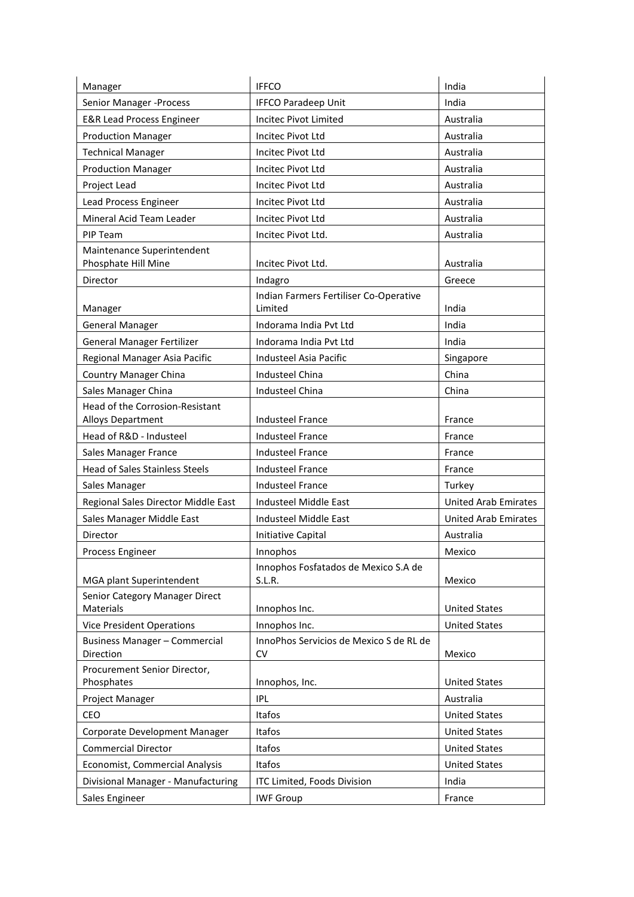| Manager                                           | <b>IFFCO</b>                                      | India                       |
|---------------------------------------------------|---------------------------------------------------|-----------------------------|
| Senior Manager - Process                          | <b>IFFCO Paradeep Unit</b>                        | India                       |
| <b>E&amp;R Lead Process Engineer</b>              | Incitec Pivot Limited                             | Australia                   |
| <b>Production Manager</b>                         | Incitec Pivot Ltd                                 | Australia                   |
| <b>Technical Manager</b>                          | Incitec Pivot Ltd                                 | Australia                   |
| <b>Production Manager</b>                         | Incitec Pivot Ltd                                 | Australia                   |
| Project Lead                                      | Incitec Pivot Ltd                                 | Australia                   |
| Lead Process Engineer                             | Incitec Pivot Ltd                                 | Australia                   |
| Mineral Acid Team Leader                          | <b>Incitec Pivot Ltd</b>                          | Australia                   |
| PIP Team                                          | Incitec Pivot Ltd.                                | Australia                   |
| Maintenance Superintendent                        |                                                   |                             |
| Phosphate Hill Mine                               | Incitec Pivot Ltd.                                | Australia                   |
| Director                                          | Indagro                                           | Greece                      |
| Manager                                           | Indian Farmers Fertiliser Co-Operative<br>Limited | India                       |
| <b>General Manager</b>                            | Indorama India Pvt Ltd                            | India                       |
| <b>General Manager Fertilizer</b>                 | Indorama India Pvt Ltd                            | India                       |
| Regional Manager Asia Pacific                     | Industeel Asia Pacific                            | Singapore                   |
| <b>Country Manager China</b>                      | <b>Industeel China</b>                            | China                       |
| Sales Manager China                               | Industeel China                                   | China                       |
| Head of the Corrosion-Resistant                   |                                                   |                             |
| Alloys Department                                 | <b>Industeel France</b>                           | France                      |
| Head of R&D - Industeel                           | <b>Industeel France</b>                           | France                      |
| Sales Manager France                              | <b>Industeel France</b>                           | France                      |
| <b>Head of Sales Stainless Steels</b>             | <b>Industeel France</b>                           | France                      |
| Sales Manager                                     | Industeel France                                  | Turkey                      |
| Regional Sales Director Middle East               | Industeel Middle East                             | <b>United Arab Emirates</b> |
| Sales Manager Middle East                         | <b>Industeel Middle East</b>                      | <b>United Arab Emirates</b> |
| Director                                          | Initiative Capital                                | Australia                   |
| Process Engineer                                  | Innophos                                          | Mexico                      |
| MGA plant Superintendent                          | Innophos Fosfatados de Mexico S.A de<br>S.L.R.    | Mexico                      |
| Senior Category Manager Direct                    |                                                   |                             |
| Materials                                         | Innophos Inc.                                     | <b>United States</b>        |
| <b>Vice President Operations</b>                  | Innophos Inc.                                     | <b>United States</b>        |
| <b>Business Manager - Commercial</b><br>Direction | InnoPhos Servicios de Mexico S de RL de<br>CV     | Mexico                      |
| Procurement Senior Director,<br>Phosphates        | Innophos, Inc.                                    | <b>United States</b>        |
| Project Manager                                   | <b>IPL</b>                                        | Australia                   |
| CEO                                               | Itafos                                            | <b>United States</b>        |
| Corporate Development Manager                     | Itafos                                            | <b>United States</b>        |
| <b>Commercial Director</b>                        | Itafos                                            | <b>United States</b>        |
| Economist, Commercial Analysis                    | Itafos                                            | <b>United States</b>        |
| Divisional Manager - Manufacturing                | ITC Limited, Foods Division                       | India                       |
| Sales Engineer                                    | <b>IWF Group</b>                                  | France                      |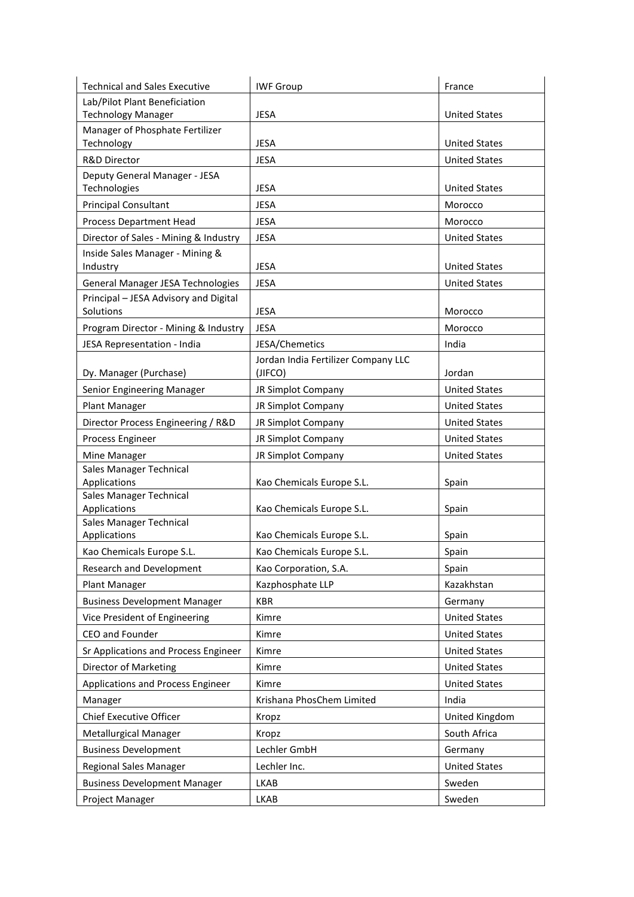| <b>Technical and Sales Executive</b>    | <b>IWF Group</b>                    | France               |
|-----------------------------------------|-------------------------------------|----------------------|
| Lab/Pilot Plant Beneficiation           |                                     |                      |
| <b>Technology Manager</b>               | <b>JESA</b>                         | <b>United States</b> |
| Manager of Phosphate Fertilizer         |                                     |                      |
| Technology                              | <b>JESA</b>                         | <b>United States</b> |
| R&D Director                            | <b>JESA</b>                         | <b>United States</b> |
| Deputy General Manager - JESA           |                                     |                      |
| Technologies                            | <b>JESA</b>                         | <b>United States</b> |
| <b>Principal Consultant</b>             | <b>JESA</b>                         | Morocco              |
| Process Department Head                 | <b>JESA</b>                         | Morocco              |
| Director of Sales - Mining & Industry   | <b>JESA</b>                         | <b>United States</b> |
| Inside Sales Manager - Mining &         |                                     |                      |
| Industry                                | <b>JESA</b>                         | <b>United States</b> |
| General Manager JESA Technologies       | <b>JESA</b>                         | <b>United States</b> |
| Principal - JESA Advisory and Digital   |                                     |                      |
| Solutions                               | <b>JESA</b>                         | Morocco              |
| Program Director - Mining & Industry    | <b>JESA</b>                         | Morocco              |
| JESA Representation - India             | JESA/Chemetics                      | India                |
|                                         | Jordan India Fertilizer Company LLC |                      |
| Dy. Manager (Purchase)                  | (JIFCO)                             | Jordan               |
| Senior Engineering Manager              | JR Simplot Company                  | <b>United States</b> |
| Plant Manager                           | JR Simplot Company                  | <b>United States</b> |
| Director Process Engineering / R&D      | JR Simplot Company                  | <b>United States</b> |
| Process Engineer                        | JR Simplot Company                  | <b>United States</b> |
| Mine Manager                            | JR Simplot Company                  | <b>United States</b> |
| Sales Manager Technical                 |                                     |                      |
| Applications                            | Kao Chemicals Europe S.L.           | Spain                |
| Sales Manager Technical                 |                                     |                      |
| Applications                            | Kao Chemicals Europe S.L.           | Spain                |
| Sales Manager Technical<br>Applications | Kao Chemicals Europe S.L.           | Spain                |
| Kao Chemicals Europe S.L.               | Kao Chemicals Europe S.L.           | Spain                |
|                                         |                                     |                      |
| <b>Research and Development</b>         | Kao Corporation, S.A.               | Spain                |
| Plant Manager                           | Kazphosphate LLP                    | Kazakhstan           |
| <b>Business Development Manager</b>     | <b>KBR</b>                          | Germany              |
| Vice President of Engineering           | Kimre                               | <b>United States</b> |
| CEO and Founder                         | Kimre                               | <b>United States</b> |
| Sr Applications and Process Engineer    | Kimre                               | <b>United States</b> |
| Director of Marketing                   | Kimre                               | <b>United States</b> |
| Applications and Process Engineer       | Kimre                               | <b>United States</b> |
| Manager                                 | Krishana PhosChem Limited           | India                |
| Chief Executive Officer                 | Kropz                               | United Kingdom       |
| <b>Metallurgical Manager</b>            | Kropz                               | South Africa         |
| <b>Business Development</b>             | Lechler GmbH                        | Germany              |
| <b>Regional Sales Manager</b>           | Lechler Inc.                        | <b>United States</b> |
| <b>Business Development Manager</b>     | <b>LKAB</b>                         | Sweden               |
|                                         |                                     |                      |
| Project Manager                         | LKAB                                | Sweden               |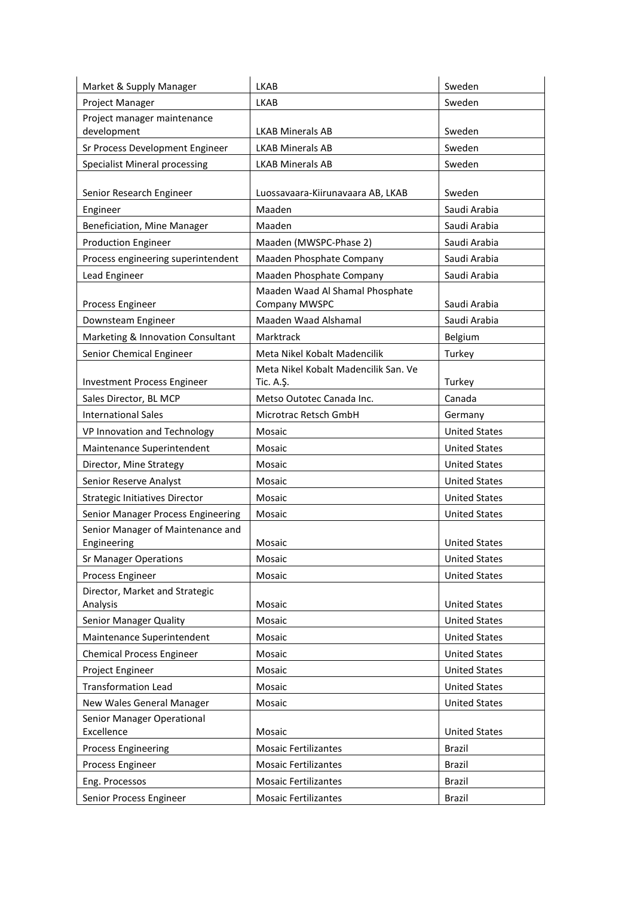| Market & Supply Manager                  | <b>LKAB</b>                                      | Sweden               |
|------------------------------------------|--------------------------------------------------|----------------------|
| Project Manager                          | <b>LKAB</b>                                      | Sweden               |
| Project manager maintenance              |                                                  |                      |
| development                              | <b>LKAB Minerals AB</b>                          | Sweden               |
| Sr Process Development Engineer          | <b>LKAB Minerals AB</b>                          | Sweden               |
| <b>Specialist Mineral processing</b>     | <b>LKAB Minerals AB</b>                          | Sweden               |
|                                          |                                                  |                      |
| Senior Research Engineer                 | Luossavaara-Kiirunavaara AB, LKAB                | Sweden               |
| Engineer                                 | Maaden                                           | Saudi Arabia         |
| Beneficiation, Mine Manager              | Maaden                                           | Saudi Arabia         |
| <b>Production Engineer</b>               | Maaden (MWSPC-Phase 2)                           | Saudi Arabia         |
| Process engineering superintendent       | Maaden Phosphate Company                         | Saudi Arabia         |
| Lead Engineer                            | Maaden Phosphate Company                         | Saudi Arabia         |
| Process Engineer                         | Maaden Waad Al Shamal Phosphate<br>Company MWSPC | Saudi Arabia         |
| Downsteam Engineer                       | Maaden Waad Alshamal                             | Saudi Arabia         |
| Marketing & Innovation Consultant        | Marktrack                                        | Belgium              |
|                                          | Meta Nikel Kobalt Madencilik                     |                      |
| Senior Chemical Engineer                 | Meta Nikel Kobalt Madencilik San. Ve             | Turkey               |
| Investment Process Engineer              | Tic. A.Ş.                                        | Turkey               |
| Sales Director, BL MCP                   | Metso Outotec Canada Inc.                        | Canada               |
| <b>International Sales</b>               | Microtrac Retsch GmbH                            | Germany              |
| VP Innovation and Technology             | Mosaic                                           | <b>United States</b> |
| Maintenance Superintendent               | Mosaic                                           | <b>United States</b> |
| Director, Mine Strategy                  | Mosaic                                           | <b>United States</b> |
| Senior Reserve Analyst                   | Mosaic                                           | <b>United States</b> |
| <b>Strategic Initiatives Director</b>    | Mosaic                                           | <b>United States</b> |
| Senior Manager Process Engineering       | Mosaic                                           | <b>United States</b> |
| Senior Manager of Maintenance and        |                                                  |                      |
| Engineering                              | Mosaic                                           | <b>United States</b> |
| <b>Sr Manager Operations</b>             | Mosaic                                           | <b>United States</b> |
| Process Engineer                         | Mosaic                                           | <b>United States</b> |
| Director, Market and Strategic           |                                                  |                      |
| Analysis                                 | Mosaic                                           | <b>United States</b> |
| Senior Manager Quality                   | Mosaic                                           | <b>United States</b> |
| Maintenance Superintendent               | Mosaic                                           | <b>United States</b> |
| <b>Chemical Process Engineer</b>         | Mosaic                                           | <b>United States</b> |
| Project Engineer                         | Mosaic                                           | <b>United States</b> |
| <b>Transformation Lead</b>               | Mosaic                                           | <b>United States</b> |
| New Wales General Manager                | Mosaic                                           | <b>United States</b> |
| Senior Manager Operational<br>Excellence | Mosaic                                           | <b>United States</b> |
|                                          | <b>Mosaic Fertilizantes</b>                      | <b>Brazil</b>        |
| <b>Process Engineering</b>               | <b>Mosaic Fertilizantes</b>                      | <b>Brazil</b>        |
| Process Engineer                         |                                                  |                      |
| Eng. Processos                           | <b>Mosaic Fertilizantes</b>                      | <b>Brazil</b>        |
| Senior Process Engineer                  | <b>Mosaic Fertilizantes</b>                      | <b>Brazil</b>        |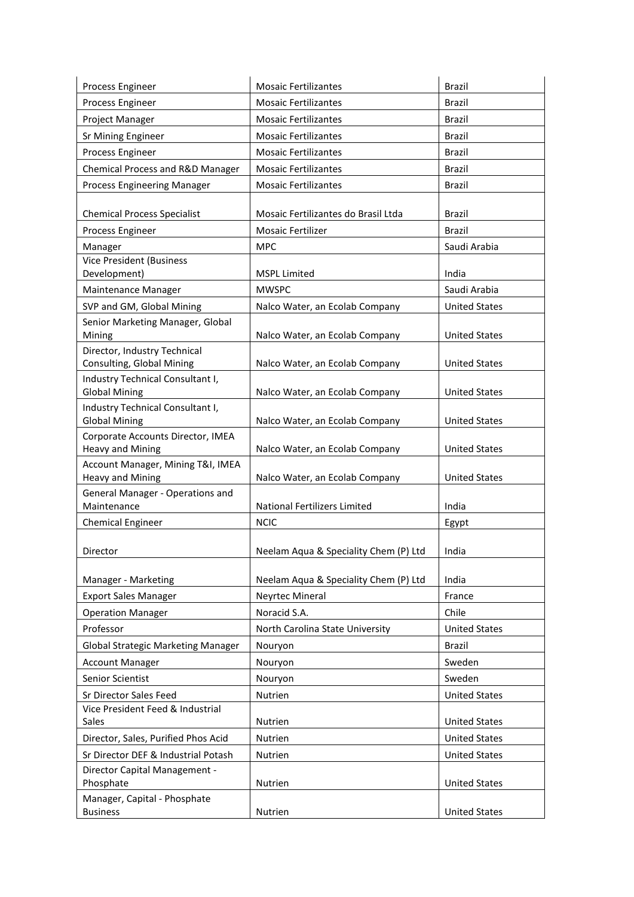| Process Engineer                                             | <b>Mosaic Fertilizantes</b>           | <b>Brazil</b>        |
|--------------------------------------------------------------|---------------------------------------|----------------------|
| Process Engineer                                             | <b>Mosaic Fertilizantes</b>           | <b>Brazil</b>        |
| Project Manager                                              | <b>Mosaic Fertilizantes</b>           | <b>Brazil</b>        |
| Sr Mining Engineer                                           | <b>Mosaic Fertilizantes</b>           | <b>Brazil</b>        |
| Process Engineer                                             | <b>Mosaic Fertilizantes</b>           | <b>Brazil</b>        |
| Chemical Process and R&D Manager                             | <b>Mosaic Fertilizantes</b>           | <b>Brazil</b>        |
| <b>Process Engineering Manager</b>                           | <b>Mosaic Fertilizantes</b>           | <b>Brazil</b>        |
|                                                              |                                       |                      |
| <b>Chemical Process Specialist</b>                           | Mosaic Fertilizantes do Brasil Ltda   | Brazil               |
| Process Engineer                                             | <b>Mosaic Fertilizer</b>              | <b>Brazil</b>        |
| Manager                                                      | <b>MPC</b>                            | Saudi Arabia         |
| <b>Vice President (Business</b>                              |                                       |                      |
| Development)                                                 | <b>MSPL Limited</b>                   | India                |
| Maintenance Manager                                          | <b>MWSPC</b>                          | Saudi Arabia         |
| SVP and GM, Global Mining                                    | Nalco Water, an Ecolab Company        | <b>United States</b> |
| Senior Marketing Manager, Global<br>Mining                   | Nalco Water, an Ecolab Company        | <b>United States</b> |
| Director, Industry Technical                                 |                                       |                      |
| Consulting, Global Mining                                    | Nalco Water, an Ecolab Company        | <b>United States</b> |
| Industry Technical Consultant I,                             |                                       |                      |
| <b>Global Mining</b>                                         | Nalco Water, an Ecolab Company        | <b>United States</b> |
| Industry Technical Consultant I,                             |                                       |                      |
| <b>Global Mining</b>                                         | Nalco Water, an Ecolab Company        | <b>United States</b> |
| Corporate Accounts Director, IMEA                            |                                       |                      |
| <b>Heavy and Mining</b><br>Account Manager, Mining T&I, IMEA | Nalco Water, an Ecolab Company        | <b>United States</b> |
| Heavy and Mining                                             | Nalco Water, an Ecolab Company        | <b>United States</b> |
| General Manager - Operations and                             |                                       |                      |
| Maintenance                                                  | National Fertilizers Limited          | India                |
| <b>Chemical Engineer</b>                                     | <b>NCIC</b>                           | Egypt                |
|                                                              |                                       |                      |
| Director                                                     | Neelam Aqua & Speciality Chem (P) Ltd | India                |
|                                                              |                                       |                      |
| Manager - Marketing                                          | Neelam Aqua & Speciality Chem (P) Ltd | India                |
| <b>Export Sales Manager</b>                                  | Neyrtec Mineral                       | France               |
| <b>Operation Manager</b>                                     | Noracid S.A.                          | Chile                |
| Professor                                                    | North Carolina State University       | <b>United States</b> |
| <b>Global Strategic Marketing Manager</b>                    | Nouryon                               | <b>Brazil</b>        |
| <b>Account Manager</b>                                       | Nouryon                               | Sweden               |
| Senior Scientist                                             | Nouryon                               | Sweden               |
| Sr Director Sales Feed                                       | Nutrien                               | <b>United States</b> |
| Vice President Feed & Industrial<br>Sales                    | Nutrien                               | <b>United States</b> |
| Director, Sales, Purified Phos Acid                          | Nutrien                               | <b>United States</b> |
| Sr Director DEF & Industrial Potash                          |                                       |                      |
| Director Capital Management -                                | Nutrien                               | <b>United States</b> |
| Phosphate                                                    | Nutrien                               | <b>United States</b> |
| Manager, Capital - Phosphate                                 |                                       |                      |
| <b>Business</b>                                              | Nutrien                               | <b>United States</b> |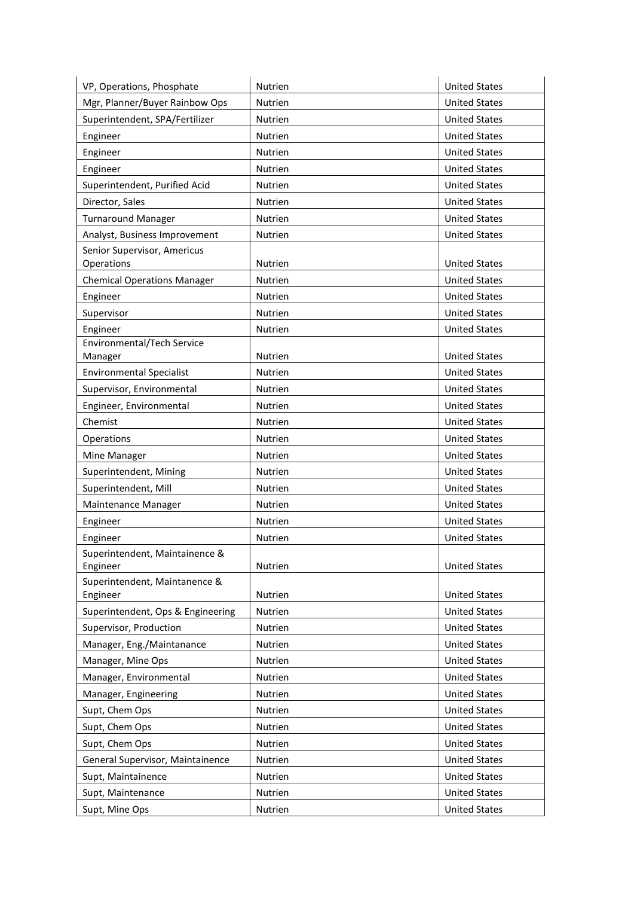| VP, Operations, Phosphate                  | Nutrien        | <b>United States</b> |
|--------------------------------------------|----------------|----------------------|
| Mgr, Planner/Buyer Rainbow Ops             | Nutrien        | <b>United States</b> |
| Superintendent, SPA/Fertilizer             | Nutrien        | <b>United States</b> |
| Engineer                                   | Nutrien        | <b>United States</b> |
| Engineer                                   | Nutrien        | <b>United States</b> |
| Engineer                                   | Nutrien        | <b>United States</b> |
| Superintendent, Purified Acid              | Nutrien        | <b>United States</b> |
| Director, Sales                            | Nutrien        | <b>United States</b> |
| <b>Turnaround Manager</b>                  | Nutrien        | <b>United States</b> |
| Analyst, Business Improvement              | Nutrien        | <b>United States</b> |
| Senior Supervisor, Americus<br>Operations  | Nutrien        | <b>United States</b> |
| <b>Chemical Operations Manager</b>         | Nutrien        | <b>United States</b> |
| Engineer                                   | Nutrien        | <b>United States</b> |
| Supervisor                                 | Nutrien        | <b>United States</b> |
| Engineer                                   | Nutrien        | <b>United States</b> |
| Environmental/Tech Service                 |                |                      |
| Manager                                    | Nutrien        | <b>United States</b> |
| <b>Environmental Specialist</b>            | Nutrien        | <b>United States</b> |
| Supervisor, Environmental                  | Nutrien        | <b>United States</b> |
| Engineer, Environmental                    | Nutrien        | <b>United States</b> |
| Chemist                                    | Nutrien        | <b>United States</b> |
| Operations                                 | Nutrien        | <b>United States</b> |
| Mine Manager                               | Nutrien        | <b>United States</b> |
| Superintendent, Mining                     | Nutrien        | <b>United States</b> |
| Superintendent, Mill                       | Nutrien        | <b>United States</b> |
| Maintenance Manager                        | Nutrien        | <b>United States</b> |
| Engineer                                   | <b>Nutrien</b> | <b>United States</b> |
| Engineer                                   | Nutrien        | <b>United States</b> |
| Superintendent, Maintainence &<br>Engineer | Nutrien        | <b>United States</b> |
| Superintendent, Maintanence &<br>Engineer  | Nutrien        | <b>United States</b> |
| Superintendent, Ops & Engineering          | Nutrien        | <b>United States</b> |
| Supervisor, Production                     | Nutrien        | <b>United States</b> |
| Manager, Eng./Maintanance                  | Nutrien        | <b>United States</b> |
| Manager, Mine Ops                          | Nutrien        | <b>United States</b> |
| Manager, Environmental                     | Nutrien        | <b>United States</b> |
| Manager, Engineering                       | Nutrien        | <b>United States</b> |
| Supt, Chem Ops                             | Nutrien        | <b>United States</b> |
| Supt, Chem Ops                             | Nutrien        | <b>United States</b> |
| Supt, Chem Ops                             | Nutrien        | <b>United States</b> |
| General Supervisor, Maintainence           | Nutrien        | <b>United States</b> |
| Supt, Maintainence                         | Nutrien        | <b>United States</b> |
| Supt, Maintenance                          | Nutrien        | <b>United States</b> |
| Supt, Mine Ops                             | Nutrien        | <b>United States</b> |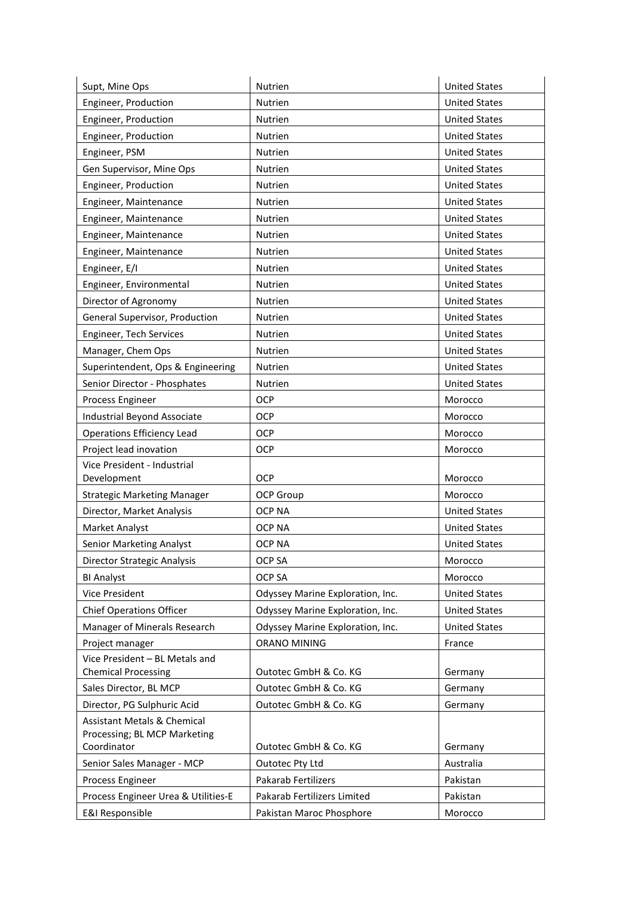| Supt, Mine Ops                                               | Nutrien                          | <b>United States</b> |
|--------------------------------------------------------------|----------------------------------|----------------------|
| Engineer, Production                                         | Nutrien                          | <b>United States</b> |
| Engineer, Production                                         | Nutrien                          | <b>United States</b> |
| Engineer, Production                                         | Nutrien                          | <b>United States</b> |
| Engineer, PSM                                                | Nutrien                          | <b>United States</b> |
| Gen Supervisor, Mine Ops                                     | Nutrien                          | <b>United States</b> |
| Engineer, Production                                         | Nutrien                          | <b>United States</b> |
| Engineer, Maintenance                                        | Nutrien                          | <b>United States</b> |
| Engineer, Maintenance                                        | Nutrien                          | <b>United States</b> |
| Engineer, Maintenance                                        | Nutrien                          | <b>United States</b> |
| Engineer, Maintenance                                        | Nutrien                          | <b>United States</b> |
| Engineer, E/I                                                | Nutrien                          | <b>United States</b> |
| Engineer, Environmental                                      | Nutrien                          | <b>United States</b> |
| Director of Agronomy                                         | Nutrien                          | <b>United States</b> |
| General Supervisor, Production                               | Nutrien                          | <b>United States</b> |
| Engineer, Tech Services                                      | Nutrien                          | <b>United States</b> |
| Manager, Chem Ops                                            | Nutrien                          | <b>United States</b> |
| Superintendent, Ops & Engineering                            | Nutrien                          | <b>United States</b> |
| Senior Director - Phosphates                                 | Nutrien                          | <b>United States</b> |
| Process Engineer                                             | <b>OCP</b>                       | Morocco              |
| Industrial Beyond Associate                                  | <b>OCP</b>                       | Morocco              |
| <b>Operations Efficiency Lead</b>                            | OCP                              | Morocco              |
| Project lead inovation                                       | OCP                              | Morocco              |
| Vice President - Industrial                                  |                                  |                      |
| Development                                                  | <b>OCP</b>                       | Morocco              |
| <b>Strategic Marketing Manager</b>                           | OCP Group                        | Morocco              |
| Director, Market Analysis                                    | <b>OCP NA</b>                    | <b>United States</b> |
| Market Analyst                                               | <b>OCP NA</b>                    | <b>United States</b> |
| <b>Senior Marketing Analyst</b>                              | <b>OCP NA</b>                    | <b>United States</b> |
| Director Strategic Analysis                                  | OCP SA                           | Morocco              |
| <b>BI Analyst</b>                                            | OCP SA                           | Morocco              |
| Vice President                                               | Odyssey Marine Exploration, Inc. | <b>United States</b> |
| <b>Chief Operations Officer</b>                              | Odyssey Marine Exploration, Inc. | <b>United States</b> |
| Manager of Minerals Research                                 | Odyssey Marine Exploration, Inc. | <b>United States</b> |
| Project manager                                              | <b>ORANO MINING</b>              | France               |
| Vice President - BL Metals and<br><b>Chemical Processing</b> | Outotec GmbH & Co. KG            | Germany              |
| Sales Director, BL MCP                                       | Outotec GmbH & Co. KG            | Germany              |
| Director, PG Sulphuric Acid                                  | Outotec GmbH & Co. KG            | Germany              |
| <b>Assistant Metals &amp; Chemical</b>                       |                                  |                      |
| Processing; BL MCP Marketing                                 |                                  |                      |
| Coordinator                                                  | Outotec GmbH & Co. KG            | Germany              |
| Senior Sales Manager - MCP                                   | Outotec Pty Ltd                  | Australia            |
| Process Engineer                                             | Pakarab Fertilizers              | Pakistan             |
| Process Engineer Urea & Utilities-E                          | Pakarab Fertilizers Limited      | Pakistan             |
| <b>E&amp;I Responsible</b>                                   | Pakistan Maroc Phosphore         | Morocco              |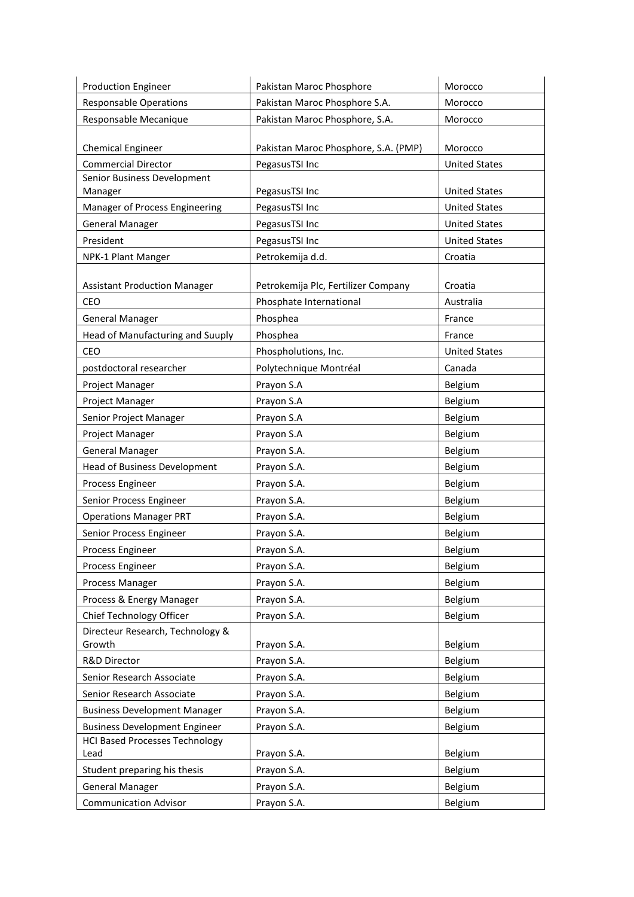| <b>Production Engineer</b>                    | Pakistan Maroc Phosphore             | Morocco              |
|-----------------------------------------------|--------------------------------------|----------------------|
| <b>Responsable Operations</b>                 | Pakistan Maroc Phosphore S.A.        | Morocco              |
| Responsable Mecanique                         | Pakistan Maroc Phosphore, S.A.       | Morocco              |
|                                               |                                      |                      |
| <b>Chemical Engineer</b>                      | Pakistan Maroc Phosphore, S.A. (PMP) | Morocco              |
| <b>Commercial Director</b>                    | PegasusTSI Inc                       | <b>United States</b> |
| Senior Business Development<br>Manager        | PegasusTSI Inc                       | <b>United States</b> |
| Manager of Process Engineering                | PegasusTSI Inc                       | <b>United States</b> |
| <b>General Manager</b>                        | PegasusTSI Inc                       | <b>United States</b> |
| President                                     | PegasusTSI Inc                       | <b>United States</b> |
| NPK-1 Plant Manger                            | Petrokemija d.d.                     | Croatia              |
|                                               |                                      |                      |
| <b>Assistant Production Manager</b>           | Petrokemija Plc, Fertilizer Company  | Croatia              |
| CEO                                           | Phosphate International              | Australia            |
| <b>General Manager</b>                        | Phosphea                             | France               |
| Head of Manufacturing and Suuply              | Phosphea                             | France               |
| CEO                                           | Phospholutions, Inc.                 | <b>United States</b> |
| postdoctoral researcher                       | Polytechnique Montréal               | Canada               |
| Project Manager                               | Prayon S.A                           | Belgium              |
| Project Manager                               | Prayon S.A                           | Belgium              |
| Senior Project Manager                        | Prayon S.A                           | Belgium              |
| Project Manager                               | Prayon S.A                           | Belgium              |
| <b>General Manager</b>                        | Prayon S.A.                          | Belgium              |
| <b>Head of Business Development</b>           | Prayon S.A.                          | Belgium              |
| Process Engineer                              | Prayon S.A.                          | Belgium              |
| Senior Process Engineer                       | Prayon S.A.                          | Belgium              |
| <b>Operations Manager PRT</b>                 | Prayon S.A.                          | Belgium              |
| Senior Process Engineer                       | Prayon S.A.                          | Belgium              |
| Process Engineer                              | Prayon S.A.                          | Belgium              |
| Process Engineer                              | Prayon S.A.                          | Belgium              |
| Process Manager                               | Prayon S.A.                          | Belgium              |
| Process & Energy Manager                      | Prayon S.A.                          | Belgium              |
| Chief Technology Officer                      | Prayon S.A.                          | Belgium              |
| Directeur Research, Technology &              |                                      |                      |
| Growth                                        | Prayon S.A.                          | Belgium              |
| R&D Director                                  | Prayon S.A.                          | Belgium              |
| Senior Research Associate                     | Prayon S.A.                          | Belgium              |
| Senior Research Associate                     | Prayon S.A.                          | Belgium              |
| <b>Business Development Manager</b>           | Prayon S.A.                          | Belgium              |
| <b>Business Development Engineer</b>          | Prayon S.A.                          | Belgium              |
| <b>HCI Based Processes Technology</b><br>Lead | Prayon S.A.                          | Belgium              |
| Student preparing his thesis                  | Prayon S.A.                          | Belgium              |
| <b>General Manager</b>                        | Prayon S.A.                          | Belgium              |
| <b>Communication Advisor</b>                  | Prayon S.A.                          |                      |
|                                               |                                      | Belgium              |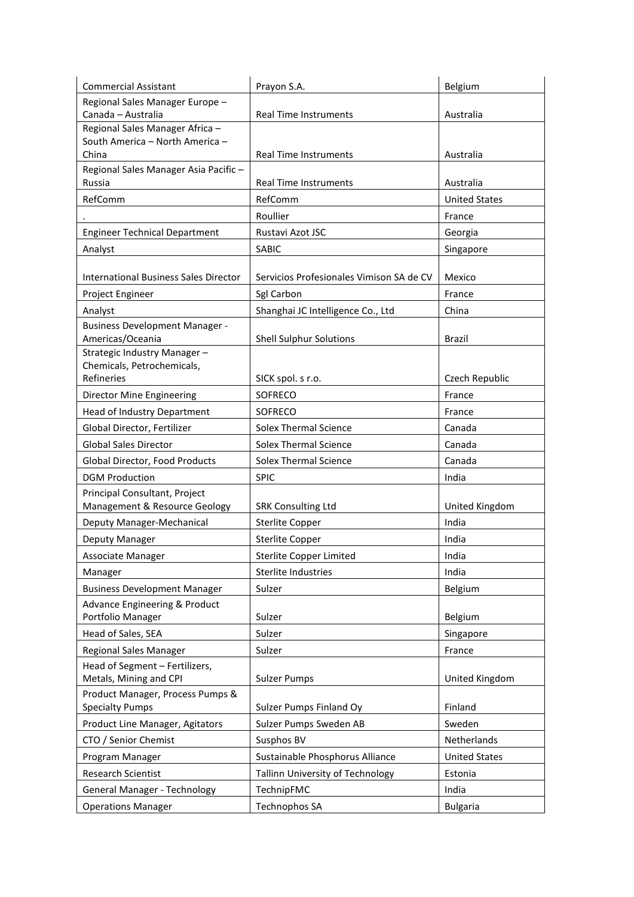| <b>Commercial Assistant</b>                                        | Prayon S.A.                              | Belgium              |
|--------------------------------------------------------------------|------------------------------------------|----------------------|
| Regional Sales Manager Europe -                                    |                                          |                      |
| Canada - Australia                                                 | <b>Real Time Instruments</b>             | Australia            |
| Regional Sales Manager Africa -<br>South America - North America - |                                          |                      |
| China                                                              | <b>Real Time Instruments</b>             | Australia            |
| Regional Sales Manager Asia Pacific-                               |                                          |                      |
| Russia                                                             | <b>Real Time Instruments</b>             | Australia            |
| RefComm                                                            | RefComm                                  | <b>United States</b> |
|                                                                    | Roullier                                 | France               |
| <b>Engineer Technical Department</b>                               | Rustavi Azot JSC                         | Georgia              |
| Analyst                                                            | <b>SABIC</b>                             | Singapore            |
|                                                                    |                                          |                      |
| <b>International Business Sales Director</b>                       | Servicios Profesionales Vimison SA de CV | Mexico               |
| Project Engineer                                                   | Sgl Carbon                               | France               |
| Analyst                                                            | Shanghai JC Intelligence Co., Ltd        | China                |
| <b>Business Development Manager -</b>                              |                                          |                      |
| Americas/Oceania                                                   | <b>Shell Sulphur Solutions</b>           | Brazil               |
| Strategic Industry Manager-                                        |                                          |                      |
| Chemicals, Petrochemicals,<br>Refineries                           |                                          |                      |
|                                                                    | SICK spol. s r.o.                        | Czech Republic       |
| Director Mine Engineering                                          | <b>SOFRECO</b>                           | France               |
| Head of Industry Department                                        | <b>SOFRECO</b>                           | France               |
| Global Director, Fertilizer                                        | <b>Solex Thermal Science</b>             | Canada               |
| <b>Global Sales Director</b>                                       | <b>Solex Thermal Science</b>             | Canada               |
| Global Director, Food Products                                     | <b>Solex Thermal Science</b>             | Canada               |
| <b>DGM Production</b>                                              | <b>SPIC</b>                              | India                |
| Principal Consultant, Project<br>Management & Resource Geology     | <b>SRK Consulting Ltd</b>                | United Kingdom       |
| Deputy Manager-Mechanical                                          | <b>Sterlite Copper</b>                   | India                |
| Deputy Manager                                                     | <b>Sterlite Copper</b>                   | India                |
| Associate Manager                                                  | <b>Sterlite Copper Limited</b>           | India                |
| Manager                                                            | Sterlite Industries                      | India                |
| <b>Business Development Manager</b>                                | Sulzer                                   | Belgium              |
| Advance Engineering & Product                                      |                                          |                      |
| Portfolio Manager                                                  | Sulzer                                   | Belgium              |
| Head of Sales, SEA                                                 | Sulzer                                   | Singapore            |
| <b>Regional Sales Manager</b>                                      | Sulzer                                   | France               |
| Head of Segment - Fertilizers,                                     |                                          |                      |
| Metals, Mining and CPI                                             | <b>Sulzer Pumps</b>                      | United Kingdom       |
| Product Manager, Process Pumps &                                   |                                          |                      |
| <b>Specialty Pumps</b>                                             | Sulzer Pumps Finland Oy                  | Finland              |
| Product Line Manager, Agitators                                    | Sulzer Pumps Sweden AB                   | Sweden               |
| CTO / Senior Chemist                                               | Susphos BV                               | Netherlands          |
| Program Manager                                                    | Sustainable Phosphorus Alliance          | <b>United States</b> |
| <b>Research Scientist</b>                                          | Tallinn University of Technology         | Estonia              |
| General Manager - Technology                                       | TechnipFMC                               | India                |
| <b>Operations Manager</b>                                          | Technophos SA                            | <b>Bulgaria</b>      |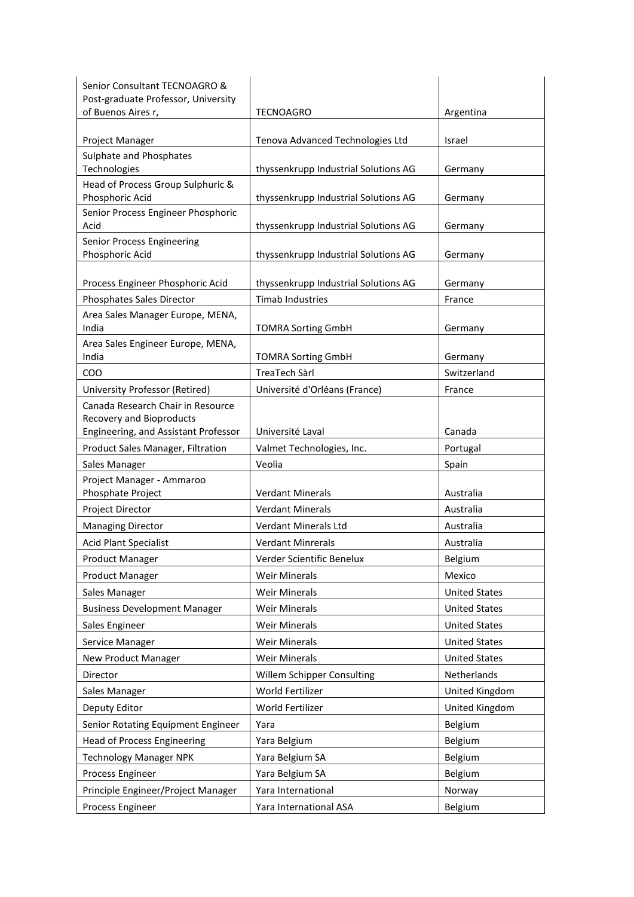| Senior Consultant TECNOAGRO &                                       |                                      |                      |
|---------------------------------------------------------------------|--------------------------------------|----------------------|
| Post-graduate Professor, University                                 |                                      |                      |
| of Buenos Aires r,                                                  | <b>TECNOAGRO</b>                     | Argentina            |
| Project Manager                                                     | Tenova Advanced Technologies Ltd     | Israel               |
| Sulphate and Phosphates                                             |                                      |                      |
| Technologies                                                        | thyssenkrupp Industrial Solutions AG | Germany              |
| Head of Process Group Sulphuric &<br>Phosphoric Acid                | thyssenkrupp Industrial Solutions AG | Germany              |
| Senior Process Engineer Phosphoric<br>Acid                          | thyssenkrupp Industrial Solutions AG | Germany              |
| Senior Process Engineering                                          |                                      |                      |
| Phosphoric Acid                                                     | thyssenkrupp Industrial Solutions AG | Germany              |
| Process Engineer Phosphoric Acid                                    | thyssenkrupp Industrial Solutions AG | Germany              |
| Phosphates Sales Director                                           | <b>Timab Industries</b>              | France               |
| Area Sales Manager Europe, MENA,                                    |                                      |                      |
| India                                                               | <b>TOMRA Sorting GmbH</b>            | Germany              |
| Area Sales Engineer Europe, MENA,<br>India                          | <b>TOMRA Sorting GmbH</b>            | Germany              |
| COO                                                                 | TreaTech Sàrl                        | Switzerland          |
|                                                                     |                                      | France               |
| University Professor (Retired)<br>Canada Research Chair in Resource | Université d'Orléans (France)        |                      |
| Recovery and Bioproducts<br>Engineering, and Assistant Professor    | Université Laval                     | Canada               |
| Product Sales Manager, Filtration                                   | Valmet Technologies, Inc.            | Portugal             |
| Sales Manager                                                       | Veolia                               | Spain                |
| Project Manager - Ammaroo                                           |                                      |                      |
| Phosphate Project                                                   | <b>Verdant Minerals</b>              | Australia            |
| Project Director                                                    | <b>Verdant Minerals</b>              | Australia            |
| <b>Managing Director</b>                                            | Verdant Minerals Ltd                 | Australia            |
| <b>Acid Plant Specialist</b>                                        | <b>Verdant Minrerals</b>             | Australia            |
| <b>Product Manager</b>                                              | Verder Scientific Benelux            | Belgium              |
| <b>Product Manager</b>                                              | <b>Weir Minerals</b>                 | Mexico               |
| Sales Manager                                                       | <b>Weir Minerals</b>                 | <b>United States</b> |
| <b>Business Development Manager</b>                                 | <b>Weir Minerals</b>                 | <b>United States</b> |
| Sales Engineer                                                      | <b>Weir Minerals</b>                 | <b>United States</b> |
| Service Manager                                                     | <b>Weir Minerals</b>                 | <b>United States</b> |
| <b>New Product Manager</b>                                          | <b>Weir Minerals</b>                 | <b>United States</b> |
| Director                                                            | Willem Schipper Consulting           | Netherlands          |
| Sales Manager                                                       | World Fertilizer                     | United Kingdom       |
| Deputy Editor                                                       | World Fertilizer                     | United Kingdom       |
| Senior Rotating Equipment Engineer                                  | Yara                                 | Belgium              |
| <b>Head of Process Engineering</b>                                  | Yara Belgium                         | Belgium              |
| <b>Technology Manager NPK</b>                                       | Yara Belgium SA                      | Belgium              |
| Process Engineer                                                    | Yara Belgium SA                      | Belgium              |
| Principle Engineer/Project Manager                                  | Yara International                   | Norway               |
| Process Engineer                                                    | Yara International ASA               | Belgium              |